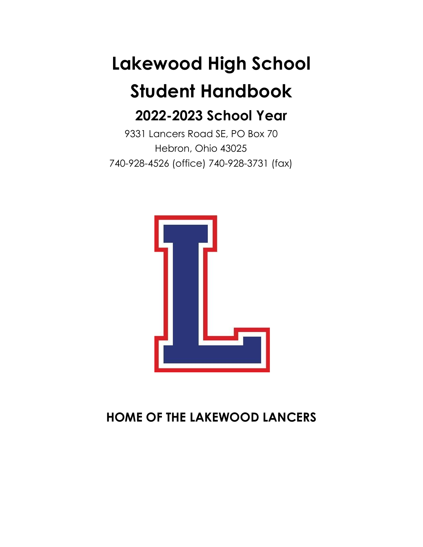**Lakewood High School Student Handbook 2022-2023 School Year**

9331 Lancers Road SE, PO Box 70 Hebron, Ohio 43025 740-928-4526 (office) 740-928-3731 (fax)



# **HOME OF THE LAKEWOOD LANCERS**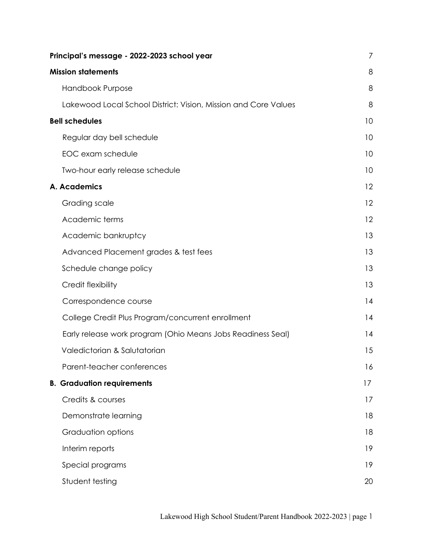| Principal's message - 2022-2023 school year                     | 7  |
|-----------------------------------------------------------------|----|
| <b>Mission statements</b>                                       | 8  |
| Handbook Purpose                                                | 8  |
| Lakewood Local School District: Vision, Mission and Core Values | 8  |
| <b>Bell schedules</b>                                           | 10 |
| Regular day bell schedule                                       | 10 |
| EOC exam schedule                                               | 10 |
| Two-hour early release schedule                                 | 10 |
| A. Academics                                                    | 12 |
| Grading scale                                                   | 12 |
| Academic terms                                                  | 12 |
| Academic bankruptcy                                             | 13 |
| Advanced Placement grades & test fees                           | 13 |
| Schedule change policy                                          | 13 |
| Credit flexibility                                              | 13 |
| Correspondence course                                           | 14 |
| College Credit Plus Program/concurrent enrollment               | 14 |
| Early release work program (Ohio Means Jobs Readiness Seal)     | 14 |
| Valedictorian & Salutatorian                                    | 15 |
| Parent-teacher conferences                                      | 16 |
| <b>B.</b> Graduation requirements                               | 17 |
| Credits & courses                                               | 17 |
| Demonstrate learning                                            | 18 |
| Graduation options                                              | 18 |
| Interim reports                                                 | 19 |
| Special programs                                                | 19 |
| Student testing                                                 | 20 |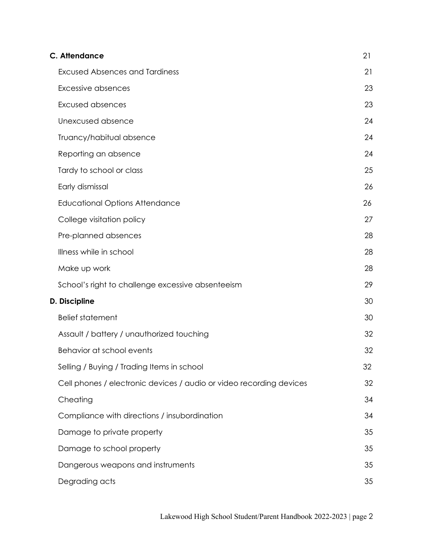| C. Attendance                                                       | 21 |
|---------------------------------------------------------------------|----|
| <b>Excused Absences and Tardiness</b>                               | 21 |
| Excessive absences                                                  | 23 |
| <b>Excused absences</b>                                             | 23 |
| Unexcused absence                                                   | 24 |
| Truancy/habitual absence                                            | 24 |
| Reporting an absence                                                | 24 |
| Tardy to school or class                                            | 25 |
| Early dismissal                                                     | 26 |
| <b>Educational Options Attendance</b>                               | 26 |
| College visitation policy                                           | 27 |
| Pre-planned absences                                                | 28 |
| Illness while in school                                             | 28 |
| Make up work                                                        | 28 |
| School's right to challenge excessive absenteeism                   | 29 |
| D. Discipline                                                       | 30 |
| <b>Belief statement</b>                                             | 30 |
| Assault / battery / unauthorized touching                           | 32 |
| Behavior at school events                                           | 32 |
| Selling / Buying / Trading Items in school                          | 32 |
| Cell phones / electronic devices / audio or video recording devices | 32 |
| Cheating                                                            | 34 |
| Compliance with directions / insubordination                        | 34 |
| Damage to private property                                          | 35 |
| Damage to school property                                           | 35 |
| Dangerous weapons and instruments                                   | 35 |
| Degrading acts                                                      | 35 |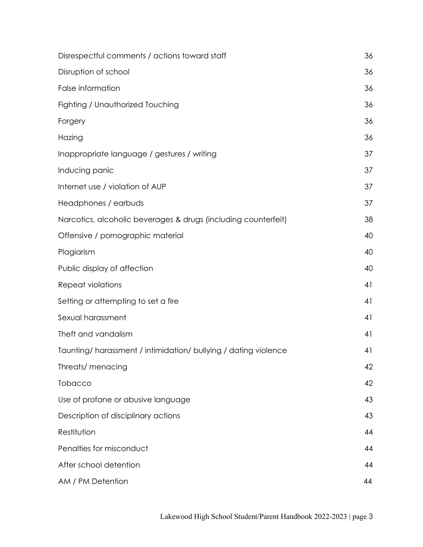| Disrespectful comments / actions toward staff                  | 36 |
|----------------------------------------------------------------|----|
| Disruption of school                                           | 36 |
| False information                                              | 36 |
| Fighting / Unauthorized Touching                               | 36 |
| Forgery                                                        | 36 |
| Hazing                                                         | 36 |
| Inappropriate language / gestures / writing                    | 37 |
| Inducing panic                                                 | 37 |
| Internet use / violation of AUP                                | 37 |
| Headphones / earbuds                                           | 37 |
| Narcotics, alcoholic beverages & drugs (including counterfeit) | 38 |
| Offensive / pornographic material                              | 40 |
| Plagiarism                                                     | 40 |
| Public display of affection                                    | 40 |
| Repeat violations                                              | 41 |
| Setting or attempting to set a fire                            | 41 |
| Sexual harassment                                              | 41 |
| Theft and vandalism                                            | 41 |
| Taunting/harassment / intimidation/bullying / dating violence  | 41 |
| Threats/ menacing                                              | 42 |
| Tobacco                                                        | 42 |
| Use of profane or abusive language                             | 43 |
| Description of disciplinary actions                            | 43 |
| Restitution                                                    | 44 |
| Penalties for misconduct                                       | 44 |
| After school detention                                         | 44 |
| AM / PM Detention                                              | 44 |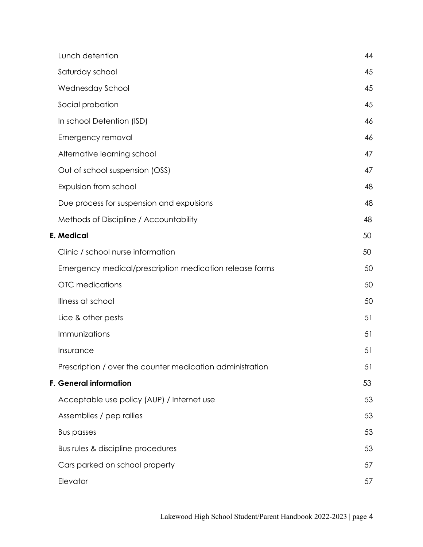| Lunch detention                                           | 44 |
|-----------------------------------------------------------|----|
| Saturday school                                           | 45 |
| Wednesday School                                          | 45 |
| Social probation                                          | 45 |
| In school Detention (ISD)                                 | 46 |
| Emergency removal                                         | 46 |
| Alternative learning school                               | 47 |
| Out of school suspension (OSS)                            | 47 |
| Expulsion from school                                     | 48 |
| Due process for suspension and expulsions                 | 48 |
| Methods of Discipline / Accountability                    | 48 |
| <b>E. Medical</b>                                         | 50 |
| Clinic / school nurse information                         | 50 |
| Emergency medical/prescription medication release forms   | 50 |
| OTC medications                                           | 50 |
| Illness at school                                         | 50 |
| Lice & other pests                                        | 51 |
| Immunizations                                             | 51 |
| Insurance                                                 | 51 |
| Prescription / over the counter medication administration | 51 |
| <b>F. General information</b>                             | 53 |
| Acceptable use policy (AUP) / Internet use                | 53 |
| Assemblies / pep rallies                                  | 53 |
| <b>Bus passes</b>                                         | 53 |
| Bus rules & discipline procedures                         | 53 |
| Cars parked on school property                            | 57 |
| Elevator                                                  | 57 |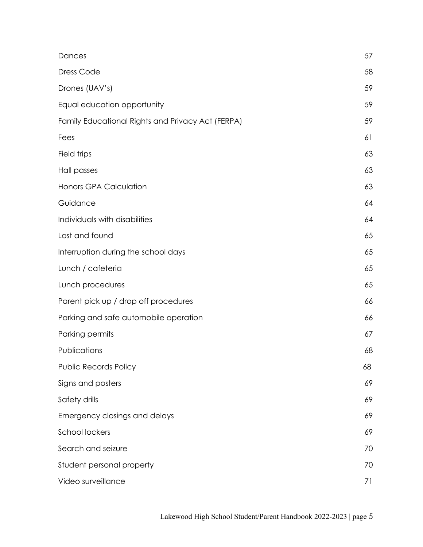| Dances                                            | 57 |
|---------------------------------------------------|----|
| <b>Dress Code</b>                                 | 58 |
| Drones (UAV's)                                    | 59 |
| Equal education opportunity                       | 59 |
| Family Educational Rights and Privacy Act (FERPA) | 59 |
| Fees                                              | 61 |
| Field trips                                       | 63 |
| Hall passes                                       | 63 |
| <b>Honors GPA Calculation</b>                     | 63 |
| Guidance                                          | 64 |
| Individuals with disabilities                     | 64 |
| Lost and found                                    | 65 |
| Interruption during the school days               | 65 |
| Lunch / cafeteria                                 | 65 |
| Lunch procedures                                  | 65 |
| Parent pick up / drop off procedures              | 66 |
| Parking and safe automobile operation             | 66 |
| Parking permits                                   | 67 |
| Publications                                      | 68 |
| <b>Public Records Policy</b>                      | 68 |
| Signs and posters                                 | 69 |
| Safety drills                                     | 69 |
| Emergency closings and delays                     | 69 |
| School lockers                                    | 69 |
| Search and seizure                                | 70 |
| Student personal property                         | 70 |
| Video surveillance                                | 71 |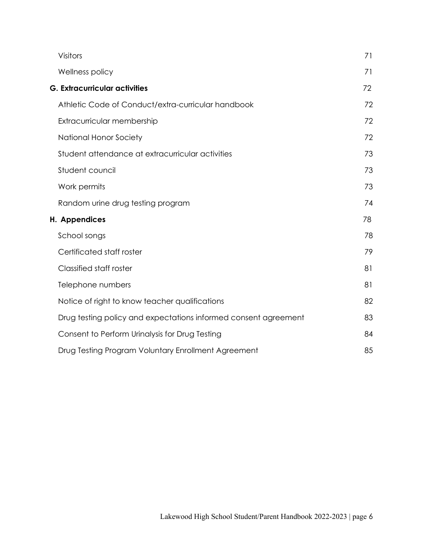| <b>Visitors</b>                                                 | 71 |
|-----------------------------------------------------------------|----|
| Wellness policy                                                 | 71 |
| <b>G. Extracurricular activities</b>                            | 72 |
| Athletic Code of Conduct/extra-curricular handbook              | 72 |
| Extracurricular membership                                      | 72 |
| National Honor Society                                          | 72 |
| Student attendance at extracurricular activities                | 73 |
| Student council                                                 | 73 |
| Work permits                                                    | 73 |
| Random urine drug testing program                               | 74 |
| H. Appendices                                                   | 78 |
| School songs                                                    | 78 |
| Certificated staff roster                                       | 79 |
| <b>Classified staff roster</b>                                  | 81 |
| Telephone numbers                                               | 81 |
| Notice of right to know teacher qualifications                  | 82 |
| Drug testing policy and expectations informed consent agreement | 83 |
| Consent to Perform Urinalysis for Drug Testing                  | 84 |
| Drug Testing Program Voluntary Enrollment Agreement             | 85 |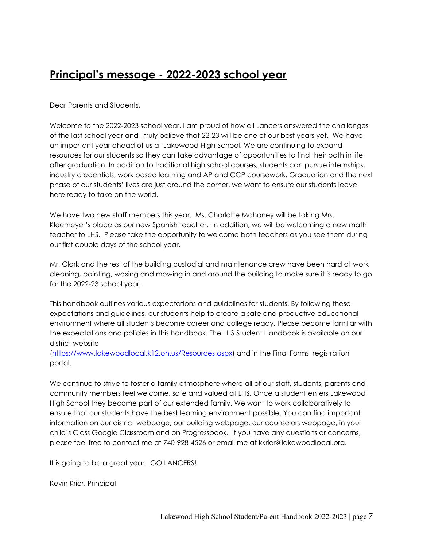# **Principal's message - 2022-2023 school year**

Dear Parents and Students,

Welcome to the 2022-2023 school year. I am proud of how all Lancers answered the challenges of the last school year and I truly believe that 22-23 will be one of our best years yet. We have an important year ahead of us at Lakewood High School. We are continuing to expand resources for our students so they can take advantage of opportunities to find their path in life after graduation. In addition to traditional high school courses, students can pursue internships, industry credentials, work based learning and AP and CCP coursework. Graduation and the next phase of our students' lives are just around the corner, we want to ensure our students leave here ready to take on the world.

We have two new staff members this year. Ms. Charlotte Mahoney will be taking Mrs. Kleemeyer's place as our new Spanish teacher. In addition, we will be welcoming a new math teacher to LHS. Please take the opportunity to welcome both teachers as you see them during our first couple days of the school year.

Mr. Clark and the rest of the building custodial and maintenance crew have been hard at work cleaning, painting, waxing and mowing in and around the building to make sure it is ready to go for the 2022-23 school year.

This handbook outlines various expectations and guidelines for students. By following these expectations and guidelines, our students help to create a safe and productive educational environment where all students become career and college ready. Please become familiar with the expectations and policies in this handbook. The LHS Student Handbook is available on our district website

[\(https://www.lakewoodlocal.k12.oh.us/Resources.aspx\)](https://www.lakewoodlocal.k12.oh.us/Resources.aspx) and in the Final Forms registration portal.

We continue to strive to foster a family atmosphere where all of our staff, students, parents and community members feel welcome, safe and valued at LHS. Once a student enters Lakewood High School they become part of our extended family. We want to work collaboratively to ensure that our students have the best learning environment possible. You can find important information on our district webpage, our building webpage, our counselors webpage, in your child's Class Google Classroom and on Progressbook. If you have any questions or concerns, please feel free to contact me at 740-928-4526 or email me at kkrier@lakewoodlocal.org.

It is going to be a great year. GO LANCERS!

Kevin Krier, Principal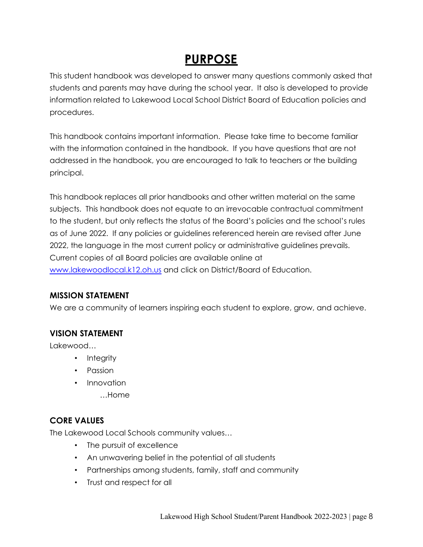# **PURPOSE**

This student handbook was developed to answer many questions commonly asked that students and parents may have during the school year. It also is developed to provide information related to Lakewood Local School District Board of Education policies and procedures.

This handbook contains important information. Please take time to become familiar with the information contained in the handbook. If you have questions that are not addressed in the handbook, you are encouraged to talk to teachers or the building principal.

This handbook replaces all prior handbooks and other written material on the same subjects. This handbook does not equate to an irrevocable contractual commitment to the student, but only reflects the status of the Board's policies and the school's rules as of June 2022. If any policies or guidelines referenced herein are revised after June 2022, the language in the most current policy or administrative guidelines prevails. Current copies of all Board policies are available online at [www.lakewoodlocal.k12.oh.us](http://www.lakewoodlocal.k12.oh.us/) and click on District/Board of Education.

#### **MISSION STATEMENT**

We are a community of learners inspiring each student to explore, grow, and achieve.

#### **VISION STATEMENT**

Lakewood…

- Integrity
- Passion
- Innovation
	- …Home

#### **CORE VALUES**

The Lakewood Local Schools community values…

- The pursuit of excellence
- An unwavering belief in the potential of all students
- Partnerships among students, family, staff and community
- Trust and respect for all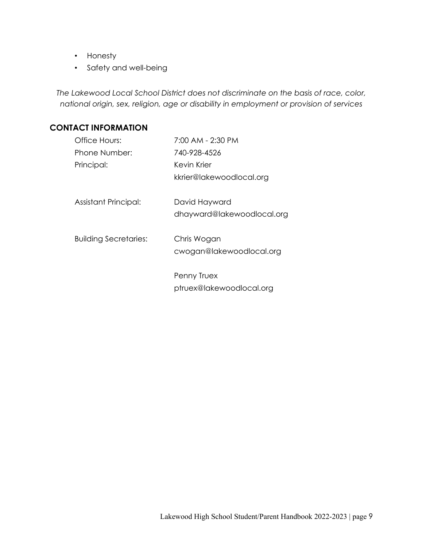- Honesty
- Safety and well-being

*The Lakewood Local School District does not discriminate on the basis of race, color, national origin, sex, religion, age or disability in employment or provision of services*

#### **CONTACT INFORMATION**

| Office Hours:                | 7:00 AM - 2:30 PM          |
|------------------------------|----------------------------|
| Phone Number:                | 740-928-4526               |
| Principal:                   | Kevin Krier                |
|                              | kkrier@lakewoodlocal.org   |
| <b>Assistant Principal:</b>  | David Hayward              |
|                              | dhayward@lakewoodlocal.org |
| <b>Building Secretaries:</b> | Chris Wogan                |
|                              | cwogan@lakewoodlocal.org   |
|                              | Penny Truex                |
|                              | ptruex@lakewoodlocal.org   |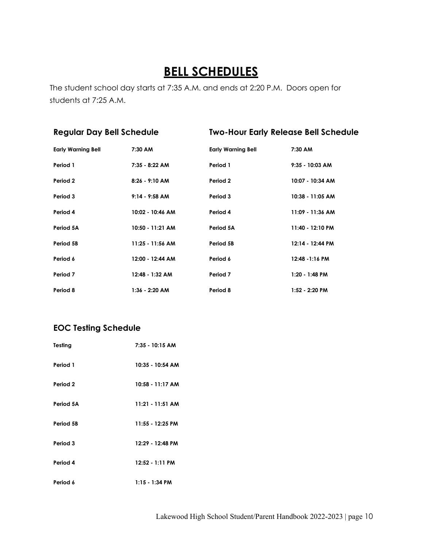# **BELL SCHEDULES**

The student school day starts at 7:35 A.M. and ends at 2:20 P.M. Doors open for students at 7:25 A.M.

**Regular Day Bell Schedule Two-Hour Early Release Bell Schedule**

| <b>Early Warning Bell</b> | 7:30 AM          | <b>Early Warning Bell</b> | 7:30 AM           |
|---------------------------|------------------|---------------------------|-------------------|
| Period 1                  | 7:35 - 8:22 AM   | Period 1                  | $9:35 - 10:03$ AM |
| Period 2                  | $8:26 - 9:10$ AM | Period 2                  | 10:07 - 10:34 AM  |
| Period 3                  | $9:14 - 9:58$ AM | Period 3                  | 10:38 - 11:05 AM  |
| Period 4                  | 10:02 - 10:46 AM | Period 4                  | 11:09 - 11:36 AM  |
| Period 5A                 | 10:50 - 11:21 AM | Period 5A                 | 11:40 - 12:10 PM  |
| Period 5B                 | 11:25 - 11:56 AM | Period 5B                 | 12:14 - 12:44 PM  |
| Period 6                  | 12:00 - 12:44 AM | Period 6                  | 12:48 - 1:16 PM   |
| Period 7                  | 12:48 - 1:32 AM  | Period 7                  | 1:20 - 1:48 PM    |
| Period 8                  | $1:36 - 2:20$ AM | Period 8                  | 1:52 - 2:20 PM    |

#### **EOC Testing Schedule**

| Testing   | 7:35 - 10:15 AM    |
|-----------|--------------------|
| Period 1  | 10:35 - 10:54 AM   |
| Period 2  | 10:58 - 11:17 AM   |
| Period 5A | $11:21 - 11:51$ AM |
| Period 5B | 11:55 - 12:25 PM   |
| Period 3  | 12:29 - 12:48 PM   |
| Period 4  | $12:52 - 1:11$ PM  |
| Period 6  | $1:15 - 1:34$ PM   |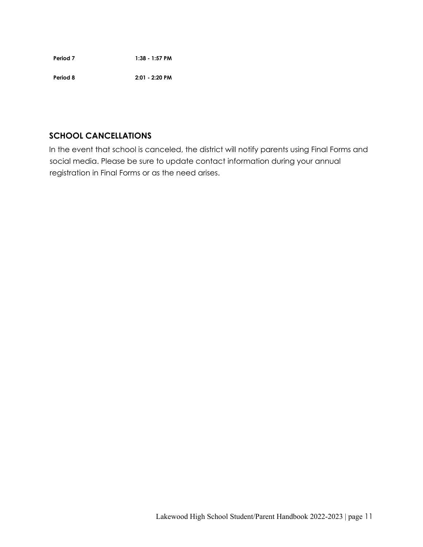**Period 7 1:38 - 1:57 PM**

**Period 8 2:01 - 2:20 PM**

#### **SCHOOL CANCELLATIONS**

In the event that school is canceled, the district will notify parents using Final Forms and social media. Please be sure to update contact information during your annual registration in Final Forms or as the need arises.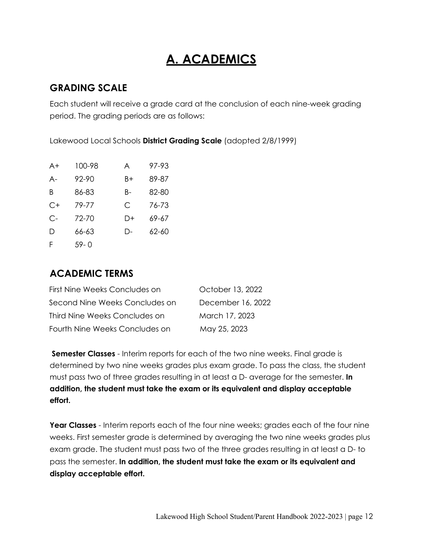# **A. ACADEMICS**

## **GRADING SCALE**

Each student will receive a grade card at the conclusion of each nine-week grading period. The grading periods are as follows:

Lakewood Local Schools **District Grading Scale** (adopted 2/8/1999)

| A+ | 100-98   | A  | 97-93     |
|----|----------|----|-----------|
| A- | 92-90    | B+ | 89-87     |
| B  | 86-83    | B- | 82-80     |
| C+ | 79-77    | С  | 76-73     |
| C- | 72-70    | D+ | 69-67     |
| D  | 66-63    | D- | $62 - 60$ |
| F  | $59 - 0$ |    |           |

#### **ACADEMIC TERMS**

| First Nine Weeks Concludes on  | October 13, 2022  |
|--------------------------------|-------------------|
| Second Nine Weeks Concludes on | December 16, 2022 |
| Third Nine Weeks Concludes on  | March 17, 2023    |
| Fourth Nine Weeks Concludes on | May 25, 2023      |

**Semester Classes** - Interim reports for each of the two nine weeks. Final grade is determined by two nine weeks grades plus exam grade. To pass the class, the student must pass two of three grades resulting in at least a D- average for the semester. **In addition, the student must take the exam or its equivalent and display acceptable effort.**

**Year Classes** - Interim reports each of the four nine weeks; grades each of the four nine weeks. First semester grade is determined by averaging the two nine weeks grades plus exam grade. The student must pass two of the three grades resulting in at least a D- to pass the semester. **In addition, the student must take the exam or its equivalent and display acceptable effort.**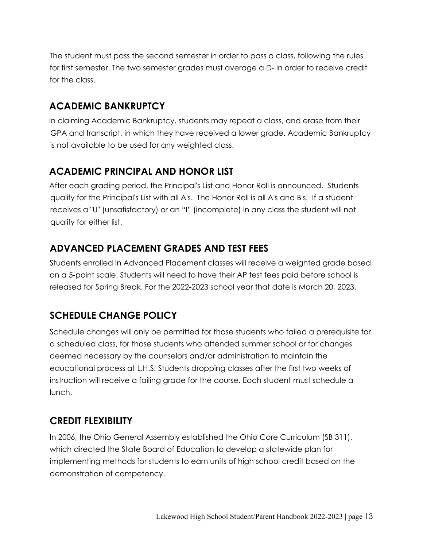The student must pass the second semester in order to pass a class, following the rules for first semester. The two semester grades must average a D- in order to receive credit for the class.

# **ACADEMIC BANKRUPTCY**

In claiming Academic Bankruptcy, students may repeat a class, and erase from their GPA and transcript, in which they have received a lower grade. Academic Bankruptcy is not available to be used for any weighted class.

# **ACADEMIC PRINCIPAL AND HONOR LIST**

After each grading period, the Principal's List and Honor Roll is announced. Students qualify for the Principal's List with all A's. The Honor Roll is all A's and B's. If a student receives a "U" (unsatisfactory) or an "I" (incomplete) in any class the student will not qualify for either list.

# **ADVANCED PLACEMENT GRADES AND TEST FEES**

Students enrolled in Advanced Placement classes will receive a weighted grade based on a 5-point scale. Students will need to have their AP test fees paid before school is released for Spring Break. For the 2022-2023 school year that date is March 20, 2023.

# **SCHEDULE CHANGE POLICY**

Schedule changes will only be permitted for those students who failed a prerequisite for a scheduled class, for those students who attended summer school or for changes deemed necessary by the counselors and/or administration to maintain the educational process at L.H.S. Students dropping classes after the first two weeks of instruction will receive a failing grade for the course. Each student must schedule a lunch.

# **CREDIT FLEXIBILITY**

In 2006, the Ohio General Assembly established the Ohio Core Curriculum (SB 311), which directed the State Board of Education to develop a statewide plan for implementing methods for students to earn units of high school credit based on the demonstration of competency.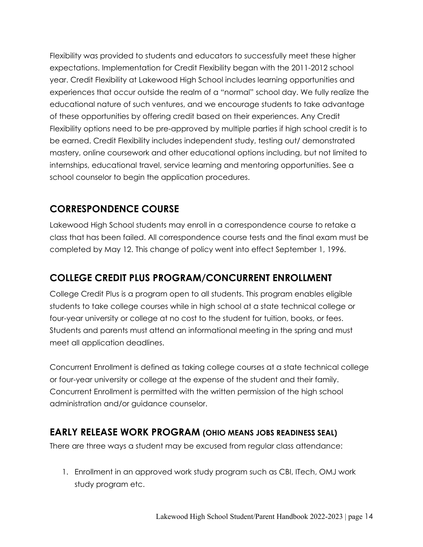Flexibility was provided to students and educators to successfully meet these higher expectations. Implementation for Credit Flexibility began with the 2011-2012 school year. Credit Flexibility at Lakewood High School includes learning opportunities and experiences that occur outside the realm of a "normal" school day. We fully realize the educational nature of such ventures, and we encourage students to take advantage of these opportunities by offering credit based on their experiences. Any Credit Flexibility options need to be pre-approved by multiple parties if high school credit is to be earned. Credit Flexibility includes independent study, testing out/ demonstrated mastery, online coursework and other educational options including, but not limited to internships, educational travel, service learning and mentoring opportunities. See a school counselor to begin the application procedures.

# **CORRESPONDENCE COURSE**

Lakewood High School students may enroll in a correspondence course to retake a class that has been failed. All correspondence course tests and the final exam must be completed by May 12. This change of policy went into effect September 1, 1996.

# **COLLEGE CREDIT PLUS PROGRAM/CONCURRENT ENROLLMENT**

College Credit Plus is a program open to all students. This program enables eligible students to take college courses while in high school at a state technical college or four-year university or college at no cost to the student for tuition, books, or fees. Students and parents must attend an informational meeting in the spring and must meet all application deadlines.

Concurrent Enrollment is defined as taking college courses at a state technical college or four-year university or college at the expense of the student and their family. Concurrent Enrollment is permitted with the written permission of the high school administration and/or guidance counselor.

# **EARLY RELEASE WORK PROGRAM (OHIO MEANS JOBS READINESS SEAL)**

There are three ways a student may be excused from regular class attendance:

1. Enrollment in an approved work study program such as CBI, ITech, OMJ work study program etc.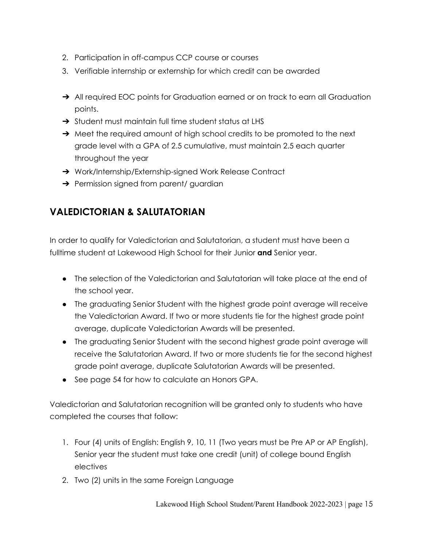- 2. Participation in off-campus CCP course or courses
- 3. Verifiable internship or externship for which credit can be awarded
- → All required EOC points for Graduation earned or on track to earn all Graduation points.
- → Student must maintain full time student status at LHS
- ➔ Meet the required amount of high school credits to be promoted to the next grade level with a GPA of 2.5 cumulative, must maintain 2.5 each quarter throughout the year
- → Work/Internship/Externship-signed Work Release Contract
- **→** Permission signed from parent/ guardian

# **VALEDICTORIAN & SALUTATORIAN**

In order to qualify for Valedictorian and Salutatorian, a student must have been a fulltime student at Lakewood High School for their Junior **and** Senior year.

- The selection of the Valedictorian and Salutatorian will take place at the end of the school year.
- The graduating Senior Student with the highest grade point average will receive the Valedictorian Award. If two or more students tie for the highest grade point average, duplicate Valedictorian Awards will be presented.
- The graduating Senior Student with the second highest grade point average will receive the Salutatorian Award. If two or more students tie for the second highest grade point average, duplicate Salutatorian Awards will be presented.
- See page 54 for how to calculate an Honors GPA.

Valedictorian and Salutatorian recognition will be granted only to students who have completed the courses that follow:

- 1. Four (4) units of English: English 9, 10, 11 (Two years must be Pre AP or AP English), Senior year the student must take one credit (unit) of college bound English electives
- 2. Two (2) units in the same Foreign Language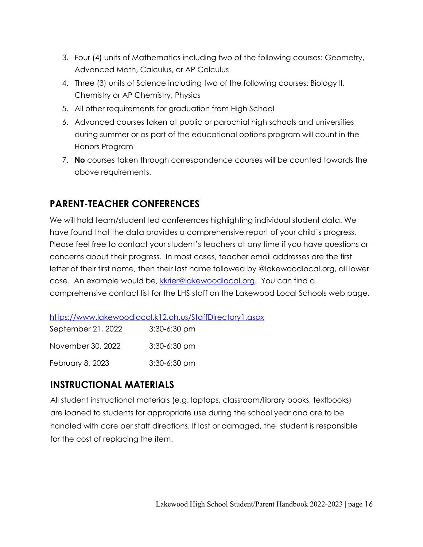- 3. Four (4) units of Mathematics including two of the following courses: Geometry, Advanced Math, Calculus, or AP Calculus
- 4. Three (3) units of Science including two of the following courses: Biology II, Chemistry or AP Chemistry, Physics
- 5. All other requirements for graduation from High School
- 6. Advanced courses taken at public or parochial high schools and universities during summer or as part of the educational options program will count in the Honors Program
- 7. **No** courses taken through correspondence courses will be counted towards the above requirements.

# **PARENT-TEACHER CONFERENCES**

We will hold team/student led conferences highlighting individual student data. We have found that the data provides a comprehensive report of your child's progress. Please feel free to contact your student's teachers at any time if you have questions or concerns about their progress. In most cases, teacher email addresses are the first letter of their first name, then their last name followed by @lakewoodlocal.org, all lower case. An example would be, kkrier@lakewoodlocal.org. You can find a comprehensive contact list for the LHS staff on the Lakewood Local Schools web page.

<https://www.lakewoodlocal.k12.oh.us/StaffDirectory1.aspx>

| September 21, 2022 | $3:30-6:30$ pm |
|--------------------|----------------|
| November 30, 2022  | $3:30-6:30$ pm |
| February 8, 2023   | $3:30-6:30$ pm |

# **INSTRUCTIONAL MATERIALS**

All student instructional materials (e.g. laptops, classroom/library books, textbooks) are loaned to students for appropriate use during the school year and are to be handled with care per staff directions. If lost or damaged, the student is responsible for the cost of replacing the item.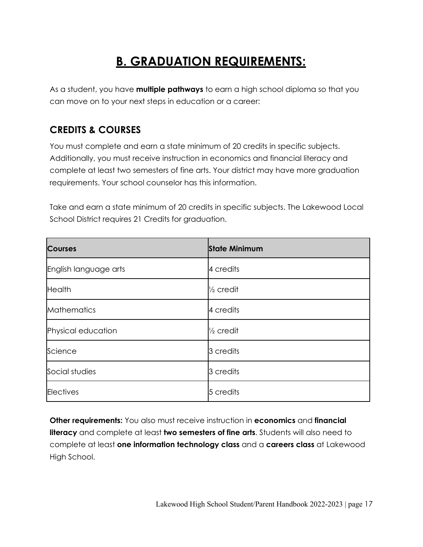# **B. GRADUATION REQUIREMENTS:**

As a student, you have **multiple pathways** to earn a high school diploma so that you can move on to your next steps in education or a career:

# **CREDITS & COURSES**

You must complete and earn a state minimum of 20 credits in specific subjects. Additionally, you must receive instruction in economics and financial literacy and complete at least two semesters of fine arts. Your district may have more graduation requirements. Your school counselor has this information.

Take and earn a state minimum of 20 credits in specific subjects. The Lakewood Local School District requires 21 Credits for graduation.

| <b>Courses</b>        | <b>State Minimum</b> |
|-----------------------|----------------------|
| English language arts | 4 credits            |
| Health                | $\frac{1}{2}$ credit |
| <b>Mathematics</b>    | 4 credits            |
| Physical education    | $\frac{1}{2}$ credit |
| Science               | 3 credits            |
| Social studies        | 3 credits            |
| Electives             | 5 credits            |

**Other requirements:** You also must receive instruction in **economics** and **financial literacy** and complete at least **two semesters of fine arts**. Students will also need to complete at least **one information technology class** and a **careers class** at Lakewood High School.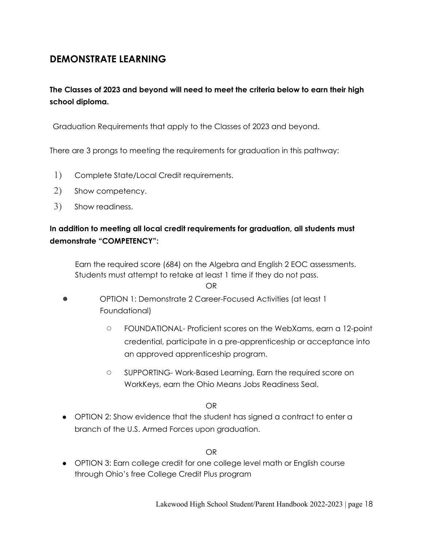# **DEMONSTRATE LEARNING**

**The Classes of 2023 and beyond will need to meet the criteria below to earn their high school diploma.**

Graduation Requirements that apply to the Classes of 2023 and beyond.

There are 3 prongs to meeting the requirements for graduation in this pathway:

- 1) Complete State/Local Credit requirements.
- 2) Show competency.
- 3) Show readiness.

#### **In addition to meeting all local credit requirements for graduation, all students must demonstrate "COMPETENCY":**

Earn the required score (684) on the Algebra and English 2 EOC assessments. Students must attempt to retake at least 1 time if they do not pass.

OR

- OPTION 1: Demonstrate 2 Career-Focused Activities (at least 1 Foundational)
	- FOUNDATIONAL- Proficient scores on the WebXams, earn a 12-point credential, participate in a pre-apprenticeship or acceptance into an approved apprenticeship program.
	- SUPPORTING- Work-Based Learning, Earn the required score on WorkKeys, earn the Ohio Means Jobs Readiness Seal.

#### OR

● OPTION 2: Show evidence that the student has signed a contract to enter a branch of the U.S. Armed Forces upon graduation.

OR

● OPTION 3: Earn college credit for one college level math or English course through Ohio's free College Credit Plus program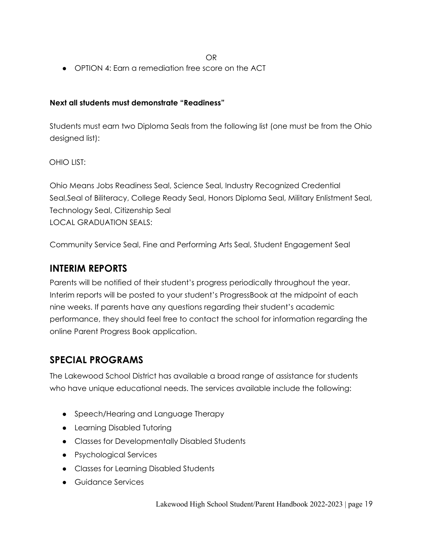OR

● OPTION 4: Earn a remediation free score on the ACT

#### **Next all students must demonstrate "Readiness"**

Students must earn two Diploma Seals from the following list (one must be from the Ohio designed list):

#### OHIO LIST:

Ohio Means Jobs Readiness Seal, Science Seal, Industry Recognized Credential Seal,Seal of Biliteracy, College Ready Seal, Honors Diploma Seal, Military Enlistment Seal, Technology Seal, Citizenship Seal LOCAL GRADUATION SEALS:

Community Service Seal, Fine and Performing Arts Seal, Student Engagement Seal

### **INTERIM REPORTS**

Parents will be notified of their student's progress periodically throughout the year. Interim reports will be posted to your student's ProgressBook at the midpoint of each nine weeks. If parents have any questions regarding their student's academic performance, they should feel free to contact the school for information regarding the online Parent Progress Book application.

### **SPECIAL PROGRAMS**

The Lakewood School District has available a broad range of assistance for students who have unique educational needs. The services available include the following:

- Speech/Hearing and Language Therapy
- Learning Disabled Tutoring
- Classes for Developmentally Disabled Students
- Psychological Services
- Classes for Learning Disabled Students
- Guidance Services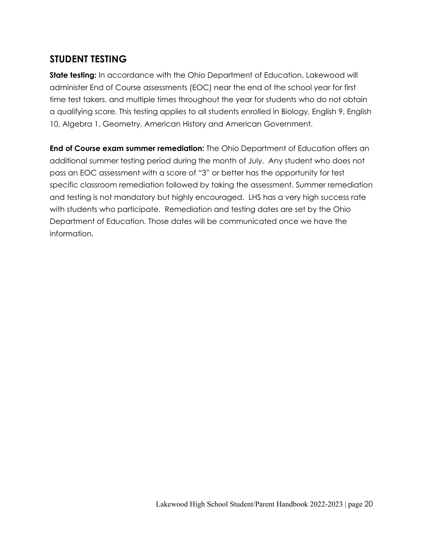# **STUDENT TESTING**

**State testing:** In accordance with the Ohio Department of Education, Lakewood will administer End of Course assessments (EOC) near the end of the school year for first time test takers, and multiple times throughout the year for students who do not obtain a qualifying score. This testing applies to all students enrolled in Biology, English 9, English 10, Algebra 1, Geometry, American History and American Government.

**End of Course exam summer remediation:** The Ohio Department of Education offers an additional summer testing period during the month of July. Any student who does not pass an EOC assessment with a score of "3" or better has the opportunity for test specific classroom remediation followed by taking the assessment. Summer remediation and testing is not mandatory but highly encouraged. LHS has a very high success rate with students who participate. Remediation and testing dates are set by the Ohio Department of Education. Those dates will be communicated once we have the information.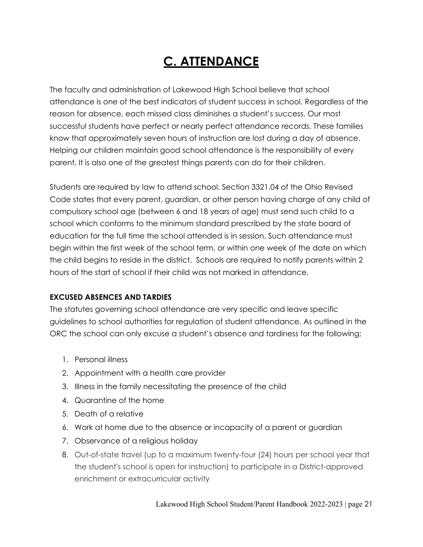# **C. ATTENDANCE**

The faculty and administration of Lakewood High School believe that school attendance is one of the best indicators of student success in school. Regardless of the reason for absence, each missed class diminishes a student's success. Our most successful students have perfect or nearly perfect attendance records. These families know that approximately seven hours of instruction are lost during a day of absence. Helping our children maintain good school attendance is the responsibility of every parent. It is also one of the greatest things parents can do for their children.

Students are required by law to attend school. Section 3321.04 of the Ohio Revised Code states that every parent, guardian, or other person having charge of any child of compulsory school age (between 6 and 18 years of age) must send such child to a school which conforms to the minimum standard prescribed by the state board of education for the full time the school attended is in session. Such attendance must begin within the first week of the school term, or within one week of the date on which the child begins to reside in the district. Schools are required to notify parents within 2 hours of the start of school if their child was not marked in attendance.

#### **EXCUSED ABSENCES AND TARDIES**

The statutes governing school attendance are very specific and leave specific guidelines to school authorities for regulation of student attendance. As outlined in the ORC the school can only excuse a student's absence and tardiness for the following:

- 1. Personal illness
- 2. Appointment with a health care provider
- 3. Illness in the family necessitating the presence of the child
- 4. Quarantine of the home
- 5. Death of a relative
- 6. Work at home due to the absence or incapacity of a parent or guardian
- 7. Observance of a religious holiday
- 8. Out-of-state travel (up to a maximum twenty-four (24) hours per school year that the student's school is open for instruction) to participate in a District-approved enrichment or extracurricular activity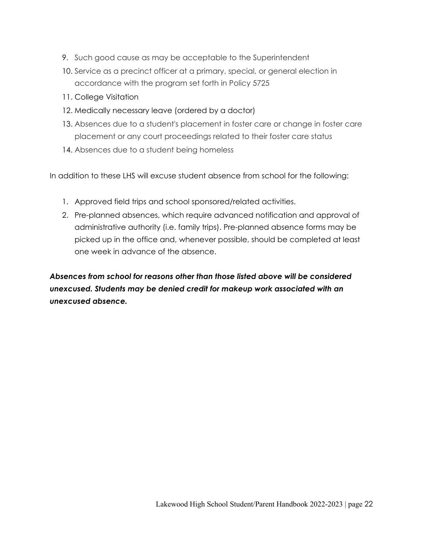- 9. Such good cause as may be acceptable to the Superintendent
- 10. Service as a precinct officer at a primary, special, or general election in accordance with the program set forth in Policy 5725
- 11. College Visitation
- 12. Medically necessary leave (ordered by a doctor)
- 13. Absences due to a student's placement in foster care or change in foster care placement or any court proceedings related to their foster care status
- 14. Absences due to a student being homeless

In addition to these LHS will excuse student absence from school for the following:

- 1. Approved field trips and school sponsored/related activities.
- 2. Pre-planned absences, which require advanced notification and approval of administrative authority (i.e. family trips). Pre-planned absence forms may be picked up in the office and, whenever possible, should be completed at least one week in advance of the absence.

*Absences from school for reasons other than those listed above will be considered unexcused. Students may be denied credit for makeup work associated with an unexcused absence.*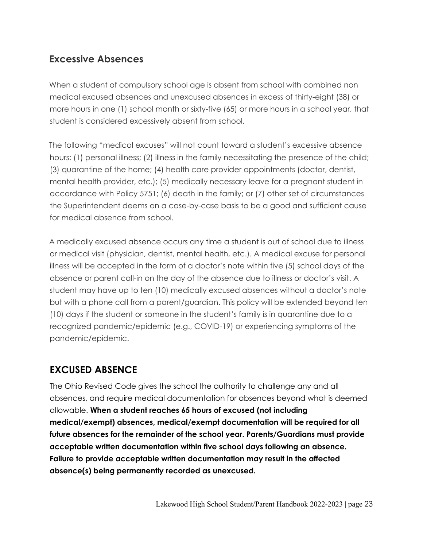# **Excessive Absences**

When a student of compulsory school age is absent from school with combined non medical excused absences and unexcused absences in excess of thirty-eight (38) or more hours in one (1) school month or sixty-five (65) or more hours in a school year, that student is considered excessively absent from school.

The following "medical excuses" will not count toward a student's excessive absence hours: (1) personal illness; (2) illness in the family necessitating the presence of the child; (3) quarantine of the home; (4) health care provider appointments (doctor, dentist, mental health provider, etc.); (5) medically necessary leave for a pregnant student in accordance with Policy 5751; (6) death in the family; or (7) other set of circumstances the Superintendent deems on a case-by-case basis to be a good and sufficient cause for medical absence from school.

A medically excused absence occurs any time a student is out of school due to illness or medical visit (physician, dentist, mental health, etc.). A medical excuse for personal illness will be accepted in the form of a doctor's note within five (5) school days of the absence or parent call-in on the day of the absence due to illness or doctor's visit. A student may have up to ten (10) medically excused absences without a doctor's note but with a phone call from a parent/guardian. This policy will be extended beyond ten (10) days if the student or someone in the student's family is in quarantine due to a recognized pandemic/epidemic (e.g., COVID-19) or experiencing symptoms of the pandemic/epidemic.

# **EXCUSED ABSENCE**

The Ohio Revised Code gives the school the authority to challenge any and all absences, and require medical documentation for absences beyond what is deemed allowable. **When a student reaches 65 hours of excused (not including medical/exempt) absences, medical/exempt documentation will be required for all future absences for the remainder of the school year. Parents/Guardians must provide acceptable written documentation within five school days following an absence. Failure to provide acceptable written documentation may result in the affected absence(s) being permanently recorded as unexcused.**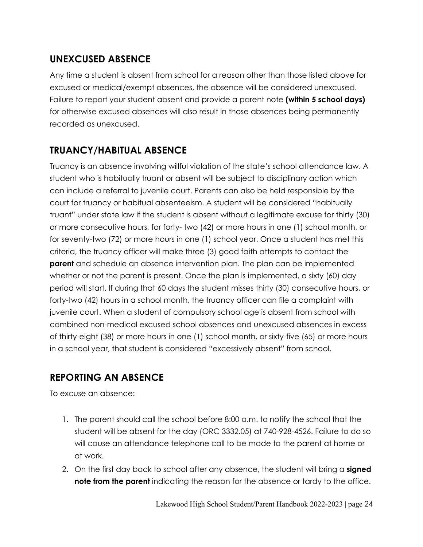# **UNEXCUSED ABSENCE**

Any time a student is absent from school for a reason other than those listed above for excused or medical/exempt absences, the absence will be considered unexcused. Failure to report your student absent and provide a parent note **(within 5 school days)** for otherwise excused absences will also result in those absences being permanently recorded as unexcused.

# **TRUANCY/HABITUAL ABSENCE**

Truancy is an absence involving willful violation of the state's school attendance law. A student who is habitually truant or absent will be subject to disciplinary action which can include a referral to juvenile court. Parents can also be held responsible by the court for truancy or habitual absenteeism. A student will be considered "habitually truant" under state law if the student is absent without a legitimate excuse for thirty (30) or more consecutive hours, for forty- two (42) or more hours in one (1) school month, or for seventy-two (72) or more hours in one (1) school year. Once a student has met this criteria, the truancy officer will make three (3) good faith attempts to contact the **parent** and schedule an absence intervention plan. The plan can be implemented whether or not the parent is present. Once the plan is implemented, a sixty (60) day period will start. If during that 60 days the student misses thirty (30) consecutive hours, or forty-two (42) hours in a school month, the truancy officer can file a complaint with juvenile court. When a student of compulsory school age is absent from school with combined non-medical excused school absences and unexcused absences in excess of thirty-eight (38) or more hours in one (1) school month, or sixty-five (65) or more hours in a school year, that student is considered "excessively absent" from school.

# **REPORTING AN ABSENCE**

To excuse an absence:

- 1. The parent should call the school before 8:00 a.m. to notify the school that the student will be absent for the day (ORC 3332.05) at 740-928-4526. Failure to do so will cause an attendance telephone call to be made to the parent at home or at work.
- 2. On the first day back to school after any absence, the student will bring a **signed note from the parent** indicating the reason for the absence or tardy to the office.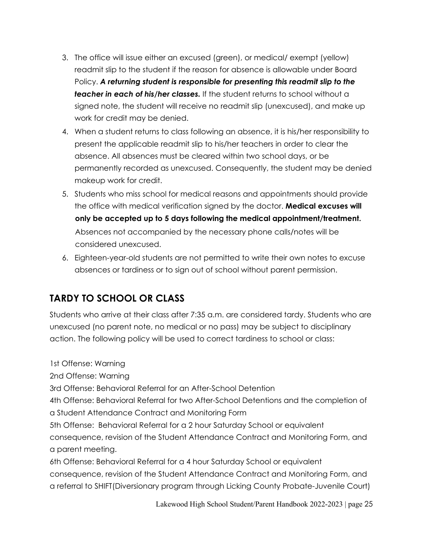- 3. The office will issue either an excused (green), or medical/ exempt (yellow) readmit slip to the student if the reason for absence is allowable under Board Policy. *A returning student is responsible for presenting this readmit slip to the teacher in each of his/her classes.* If the student returns to school without a signed note, the student will receive no readmit slip (unexcused), and make up work for credit may be denied.
- 4. When a student returns to class following an absence, it is his/her responsibility to present the applicable readmit slip to his/her teachers in order to clear the absence. All absences must be cleared within two school days, or be permanently recorded as unexcused. Consequently, the student may be denied makeup work for credit.
- 5. Students who miss school for medical reasons and appointments should provide the office with medical verification signed by the doctor. **Medical excuses will only be accepted up to 5 days following the medical appointment/treatment.** Absences not accompanied by the necessary phone calls/notes will be considered unexcused.
- 6. Eighteen-year-old students are not permitted to write their own notes to excuse absences or tardiness or to sign out of school without parent permission.

# **TARDY TO SCHOOL OR CLASS**

Students who arrive at their class after 7:35 a.m. are considered tardy. Students who are unexcused (no parent note, no medical or no pass) may be subject to disciplinary action. The following policy will be used to correct tardiness to school or class:

1st Offense: Warning 2nd Offense: Warning 3rd Offense: Behavioral Referral for an After-School Detention 4th Offense: Behavioral Referral for two After-School Detentions and the completion of a Student Attendance Contract and Monitoring Form 5th Offense: Behavioral Referral for a 2 hour Saturday School or equivalent consequence, revision of the Student Attendance Contract and Monitoring Form, and a parent meeting. 6th Offense: Behavioral Referral for a 4 hour Saturday School or equivalent consequence, revision of the Student Attendance Contract and Monitoring Form, and

a referral to SHIFT(Diversionary program through Licking County Probate-Juvenile Court)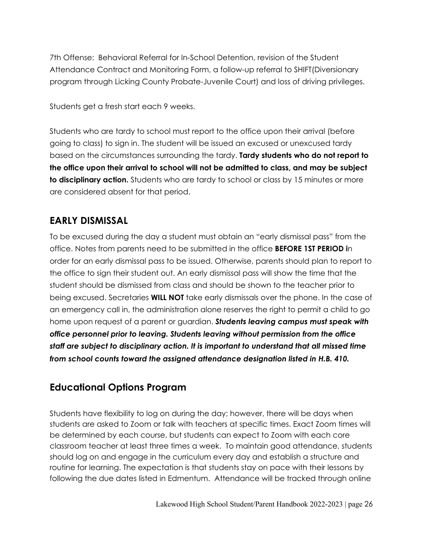7th Offense: Behavioral Referral for In-School Detention, revision of the Student Attendance Contract and Monitoring Form, a follow-up referral to SHIFT(Diversionary program through Licking County Probate-Juvenile Court) and loss of driving privileges.

Students get a fresh start each 9 weeks.

Students who are tardy to school must report to the office upon their arrival (before going to class) to sign in. The student will be issued an excused or unexcused tardy based on the circumstances surrounding the tardy. **Tardy students who do not report to the office upon their arrival to school will not be admitted to class, and may be subject to disciplinary action.** Students who are tardy to school or class by 15 minutes or more are considered absent for that period.

# **EARLY DISMISSAL**

To be excused during the day a student must obtain an "early dismissal pass" from the office. Notes from parents need to be submitted in the office **BEFORE 1ST PERIOD i**n order for an early dismissal pass to be issued. Otherwise, parents should plan to report to the office to sign their student out. An early dismissal pass will show the time that the student should be dismissed from class and should be shown to the teacher prior to being excused. Secretaries **WILL NOT** take early dismissals over the phone. In the case of an emergency call in, the administration alone reserves the right to permit a child to go home upon request of a parent or guardian. *Students leaving campus must speak with office personnel prior to leaving. Students leaving without permission from the office staff are subject to disciplinary action. It is important to understand that all missed time from school counts toward the assigned attendance designation listed in H.B. 410.*

# **Educational Options Program**

Students have flexibility to log on during the day; however, there will be days when students are asked to Zoom or talk with teachers at specific times. Exact Zoom times will be determined by each course, but students can expect to Zoom with each core classroom teacher at least three times a week. To maintain good attendance, students should log on and engage in the curriculum every day and establish a structure and routine for learning. The expectation is that students stay on pace with their lessons by following the due dates listed in Edmentum. Attendance will be tracked through online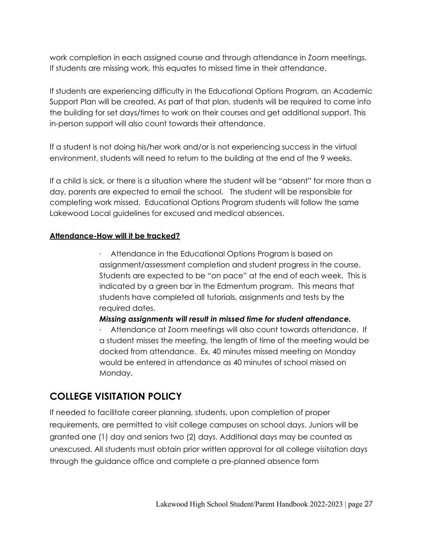work completion in each assigned course and through attendance in Zoom meetings. If students are missing work, this equates to missed time in their attendance.

If students are experiencing difficulty in the Educational Options Program, an Academic Support Plan will be created. As part of that plan, students will be required to come into the building for set days/times to work on their courses and get additional support. This in-person support will also count towards their attendance.

If a student is not doing his/her work and/or is not experiencing success in the virtual environment, students will need to return to the building at the end of the 9 weeks.

If a child is sick, or there is a situation where the student will be "absent" for more than a day, parents are expected to email the school. The student will be responsible for completing work missed. Educational Options Program students will follow the same Lakewood Local guidelines for excused and medical absences.

#### **Attendance-How will it be tracked?**

∙ Attendance in the Educational Options Program is based on assignment/assessment completion and student progress in the course. Students are expected to be "on pace" at the end of each week. This is indicated by a green bar in the Edmentum program. This means that students have completed all tutorials, assignments and tests by the required dates.

*Missing assignments will result in missed time for student attendance.*

∙ Attendance at Zoom meetings will also count towards attendance. If a student misses the meeting, the length of time of the meeting would be docked from attendance. Ex. 40 minutes missed meeting on Monday would be entered in attendance as 40 minutes of school missed on Monday.

# **COLLEGE VISITATION POLICY**

If needed to facilitate career planning, students, upon completion of proper requirements, are permitted to visit college campuses on school days. Juniors will be granted one (1) day and seniors two (2) days. Additional days may be counted as unexcused. All students must obtain prior written approval for all college visitation days through the guidance office and complete a pre-planned absence form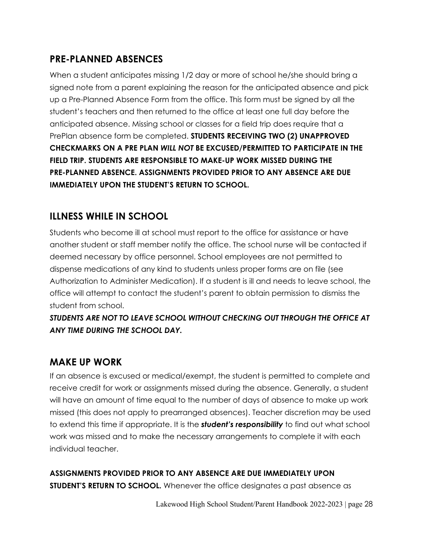# **PRE-PLANNED ABSENCES**

When a student anticipates missing 1/2 day or more of school he/she should bring a signed note from a parent explaining the reason for the anticipated absence and pick up a Pre-Planned Absence Form from the office. This form must be signed by all the student's teachers and then returned to the office at least one full day before the anticipated absence. Missing school or classes for a field trip does require that a PrePlan absence form be completed. **STUDENTS RECEIVING TWO (2) UNAPPROVED CHECKMARKS ON A PRE PLAN** *WILL NOT* **BE EXCUSED/PERMITTED TO PARTICIPATE IN THE FIELD TRIP. STUDENTS ARE RESPONSIBLE TO MAKE-UP WORK MISSED DURING THE PRE-PLANNED ABSENCE. ASSIGNMENTS PROVIDED PRIOR TO ANY ABSENCE ARE DUE IMMEDIATELY UPON THE STUDENT'S RETURN TO SCHOOL.**

# **ILLNESS WHILE IN SCHOOL**

Students who become ill at school must report to the office for assistance or have another student or staff member notify the office. The school nurse will be contacted if deemed necessary by office personnel. School employees are not permitted to dispense medications of any kind to students unless proper forms are on file (see Authorization to Administer Medication). If a student is ill and needs to leave school, the office will attempt to contact the student's parent to obtain permission to dismiss the student from school.

*STUDENTS ARE NOT TO LEAVE SCHOOL WITHOUT CHECKING OUT THROUGH THE OFFICE AT ANY TIME DURING THE SCHOOL DAY.*

# **MAKE UP WORK**

If an absence is excused or medical/exempt, the student is permitted to complete and receive credit for work or assignments missed during the absence. Generally, a student will have an amount of time equal to the number of days of absence to make up work missed (this does not apply to prearranged absences). Teacher discretion may be used to extend this time if appropriate. It is the *student's responsibility* to find out what school work was missed and to make the necessary arrangements to complete it with each individual teacher.

**ASSIGNMENTS PROVIDED PRIOR TO ANY ABSENCE ARE DUE IMMEDIATELY UPON STUDENT'S RETURN TO SCHOOL.** Whenever the office designates a past absence as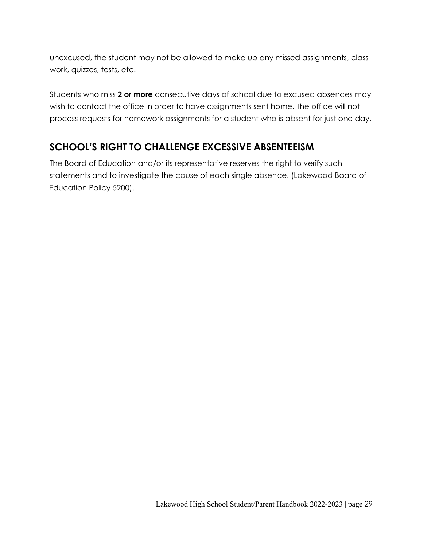unexcused, the student may not be allowed to make up any missed assignments, class work, quizzes, tests, etc.

Students who miss **2 or more** consecutive days of school due to excused absences may wish to contact the office in order to have assignments sent home. The office will not process requests for homework assignments for a student who is absent for just one day.

# **SCHOOL'S RIGHT TO CHALLENGE EXCESSIVE ABSENTEEISM**

The Board of Education and/or its representative reserves the right to verify such statements and to investigate the cause of each single absence. (Lakewood Board of Education Policy 5200).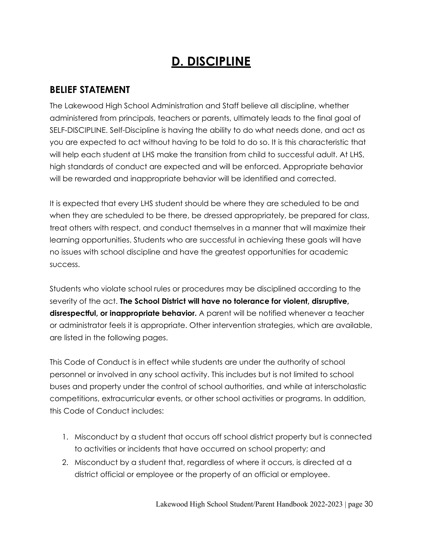# **D. DISCIPLINE**

## **BELIEF STATEMENT**

The Lakewood High School Administration and Staff believe all discipline, whether administered from principals, teachers or parents, ultimately leads to the final goal of SELF-DISCIPLINE. Self-Discipline is having the ability to do what needs done, and act as you are expected to act without having to be told to do so. It is this characteristic that will help each student at LHS make the transition from child to successful adult. At LHS, high standards of conduct are expected and will be enforced. Appropriate behavior will be rewarded and inappropriate behavior will be identified and corrected.

It is expected that every LHS student should be where they are scheduled to be and when they are scheduled to be there, be dressed appropriately, be prepared for class, treat others with respect, and conduct themselves in a manner that will maximize their learning opportunities. Students who are successful in achieving these goals will have no issues with school discipline and have the greatest opportunities for academic success.

Students who violate school rules or procedures may be disciplined according to the severity of the act. **The School District will have no tolerance for violent, disruptive, disrespectful, or inappropriate behavior.** A parent will be notified whenever a teacher or administrator feels it is appropriate. Other intervention strategies, which are available, are listed in the following pages.

This Code of Conduct is in effect while students are under the authority of school personnel or involved in any school activity. This includes but is not limited to school buses and property under the control of school authorities, and while at interscholastic competitions, extracurricular events, or other school activities or programs. In addition, this Code of Conduct includes:

- 1. Misconduct by a student that occurs off school district property but is connected to activities or incidents that have occurred on school property; and
- 2. Misconduct by a student that, regardless of where it occurs, is directed at a district official or employee or the property of an official or employee.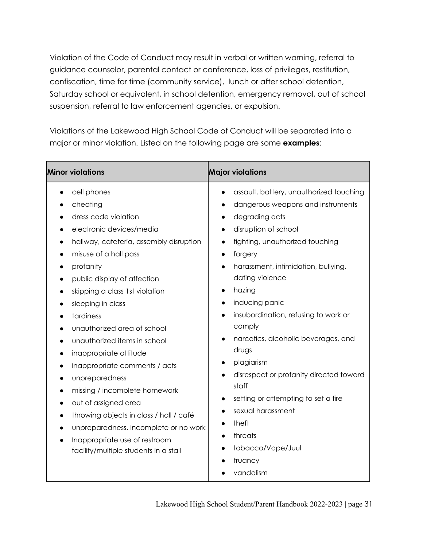Violation of the Code of Conduct may result in verbal or written warning, referral to guidance counselor, parental contact or conference, loss of privileges, restitution, confiscation, time for time (community service), lunch or after school detention, Saturday school or equivalent, in school detention, emergency removal, out of school suspension, referral to law enforcement agencies, or expulsion.

Violations of the Lakewood High School Code of Conduct will be separated into a major or minor violation. Listed on the following page are some **examples**:

| <b>Minor violations</b>                                                                                                                                                                                                                                                                                                                                                                                                                                                                                                                                                                                                                                                                                                                                                           | <b>Major violations</b>                                                                                                                                                                                                                                                                                                                                                                                                                                                                                                                                                  |
|-----------------------------------------------------------------------------------------------------------------------------------------------------------------------------------------------------------------------------------------------------------------------------------------------------------------------------------------------------------------------------------------------------------------------------------------------------------------------------------------------------------------------------------------------------------------------------------------------------------------------------------------------------------------------------------------------------------------------------------------------------------------------------------|--------------------------------------------------------------------------------------------------------------------------------------------------------------------------------------------------------------------------------------------------------------------------------------------------------------------------------------------------------------------------------------------------------------------------------------------------------------------------------------------------------------------------------------------------------------------------|
| cell phones<br>cheating<br>dress code violation<br>electronic devices/media<br>hallway, cafeteria, assembly disruption<br>$\bullet$<br>misuse of a hall pass<br>$\bullet$<br>profanity<br>$\bullet$<br>public display of affection<br>$\bullet$<br>skipping a class 1st violation<br>$\bullet$<br>sleeping in class<br>tardiness<br>unauthorized area of school<br>unauthorized items in school<br>inappropriate attitude<br>$\bullet$<br>inappropriate comments / acts<br>unpreparedness<br>$\bullet$<br>missing / incomplete homework<br>$\bullet$<br>out of assigned area<br>$\bullet$<br>throwing objects in class / hall / café<br>$\bullet$<br>unpreparedness, incomplete or no work<br>$\bullet$<br>Inappropriate use of restroom<br>facility/multiple students in a stall | assault, battery, unauthorized touching<br>dangerous weapons and instruments<br>degrading acts<br>disruption of school<br>fighting, unauthorized touching<br>forgery<br>harassment, intimidation, bullying,<br>dating violence<br>hazing<br>$\bullet$<br>inducing panic<br>insubordination, refusing to work or<br>comply<br>narcotics, alcoholic beverages, and<br>drugs<br>plagiarism<br>disrespect or profanity directed toward<br>staff<br>setting or attempting to set a fire<br>sexual harassment<br>theft<br>threats<br>tobacco/Vape/Juul<br>truancy<br>vandalism |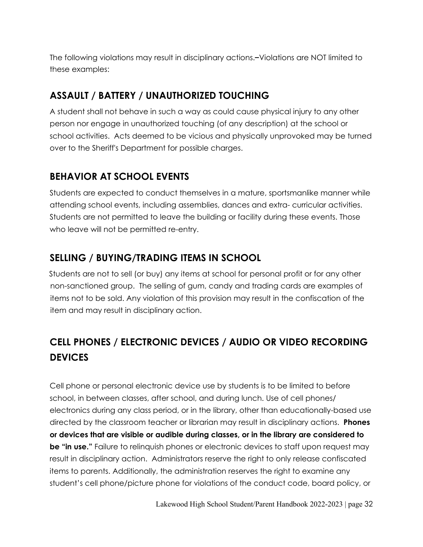The following violations may result in disciplinary actions. Violations are NOT limited to these examples:

# **ASSAULT / BATTERY / UNAUTHORIZED TOUCHING**

A student shall not behave in such a way as could cause physical injury to any other person nor engage in unauthorized touching (of any description) at the school or school activities. Acts deemed to be vicious and physically unprovoked may be turned over to the Sheriff's Department for possible charges.

# **BEHAVIOR AT SCHOOL EVENTS**

Students are expected to conduct themselves in a mature, sportsmanlike manner while attending school events, including assemblies, dances and extra- curricular activities. Students are not permitted to leave the building or facility during these events. Those who leave will not be permitted re-entry.

# **SELLING / BUYING/TRADING ITEMS IN SCHOOL**

Students are not to sell (or buy) any items at school for personal profit or for any other non-sanctioned group. The selling of gum, candy and trading cards are examples of items not to be sold. Any violation of this provision may result in the confiscation of the item and may result in disciplinary action.

# **CELL PHONES / ELECTRONIC DEVICES / AUDIO OR VIDEO RECORDING DEVICES**

Cell phone or personal electronic device use by students is to be limited to before school, in between classes, after school, and during lunch. Use of cell phones/ electronics during any class period, or in the library, other than educationally-based use directed by the classroom teacher or librarian may result in disciplinary actions. **Phones or devices that are visible or audible during classes, or in the library are considered to be "in use."** Failure to relinquish phones or electronic devices to staff upon request may result in disciplinary action. Administrators reserve the right to only release confiscated items to parents. Additionally, the administration reserves the right to examine any student's cell phone/picture phone for violations of the conduct code, board policy, or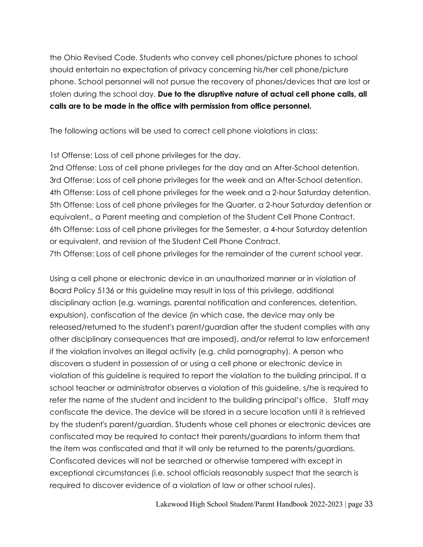the Ohio Revised Code. Students who convey cell phones/picture phones to school should entertain no expectation of privacy concerning his/her cell phone/picture phone. School personnel will not pursue the recovery of phones/devices that are lost or stolen during the school day. **Due to the disruptive nature of actual cell phone calls, all calls are to be made in the office with permission from office personnel.**

The following actions will be used to correct cell phone violations in class:

1st Offense: Loss of cell phone privileges for the day.

2nd Offense: Loss of cell phone privileges for the day and an After-School detention. 3rd Offense: Loss of cell phone privileges for the week and an After-School detention. 4th Offense: Loss of cell phone privileges for the week and a 2-hour Saturday detention. 5th Offense: Loss of cell phone privileges for the Quarter, a 2-hour Saturday detention or equivalent,, a Parent meeting and completion of the Student Cell Phone Contract. 6th Offense: Loss of cell phone privileges for the Semester, a 4-hour Saturday detention or equivalent, and revision of the Student Cell Phone Contract. 7th Offense: Loss of cell phone privileges for the remainder of the current school year.

Using a cell phone or electronic device in an unauthorized manner or in violation of Board Policy 5136 or this guideline may result in loss of this privilege, additional disciplinary action (e.g. warnings, parental notification and conferences, detention, expulsion), confiscation of the device (in which case, the device may only be released/returned to the student's parent/guardian after the student complies with any other disciplinary consequences that are imposed), and/or referral to law enforcement if the violation involves an illegal activity (e.g. child pornography). A person who discovers a student in possession of or using a cell phone or electronic device in violation of this guideline is required to report the violation to the building principal. If a school teacher or administrator observes a violation of this guideline, s/he is required to refer the name of the student and incident to the building principal's office. Staff may confiscate the device. The device will be stored in a secure location until it is retrieved by the student's parent/guardian. Students whose cell phones or electronic devices are confiscated may be required to contact their parents/guardians to inform them that the item was confiscated and that it will only be returned to the parents/guardians. Confiscated devices will not be searched or otherwise tampered with except in exceptional circumstances (i.e. school officials reasonably suspect that the search is required to discover evidence of a violation of law or other school rules).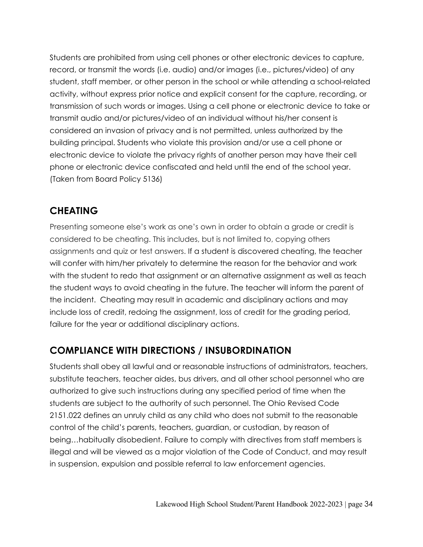Students are prohibited from using cell phones or other electronic devices to capture, record, or transmit the words (i.e. audio) and/or images (i.e., pictures/video) of any student, staff member, or other person in the school or while attending a school-related activity, without express prior notice and explicit consent for the capture, recording, or transmission of such words or images. Using a cell phone or electronic device to take or transmit audio and/or pictures/video of an individual without his/her consent is considered an invasion of privacy and is not permitted, unless authorized by the building principal. Students who violate this provision and/or use a cell phone or electronic device to violate the privacy rights of another person may have their cell phone or electronic device confiscated and held until the end of the school year. (Taken from Board Policy 5136)

# **CHEATING**

Presenting someone else's work as one's own in order to obtain a grade or credit is considered to be cheating. This includes, but is not limited to, copying others assignments and quiz or test answers. If a student is discovered cheating, the teacher will confer with him/her privately to determine the reason for the behavior and work with the student to redo that assignment or an alternative assignment as well as teach the student ways to avoid cheating in the future. The teacher will inform the parent of the incident. Cheating may result in academic and disciplinary actions and may include loss of credit, redoing the assignment, loss of credit for the grading period, failure for the year or additional disciplinary actions.

# **COMPLIANCE WITH DIRECTIONS / INSUBORDINATION**

Students shall obey all lawful and or reasonable instructions of administrators, teachers, substitute teachers, teacher aides, bus drivers, and all other school personnel who are authorized to give such instructions during any specified period of time when the students are subject to the authority of such personnel. The Ohio Revised Code 2151.022 defines an unruly child as any child who does not submit to the reasonable control of the child's parents, teachers, guardian, or custodian, by reason of being…habitually disobedient. Failure to comply with directives from staff members is illegal and will be viewed as a major violation of the Code of Conduct, and may result in suspension, expulsion and possible referral to law enforcement agencies.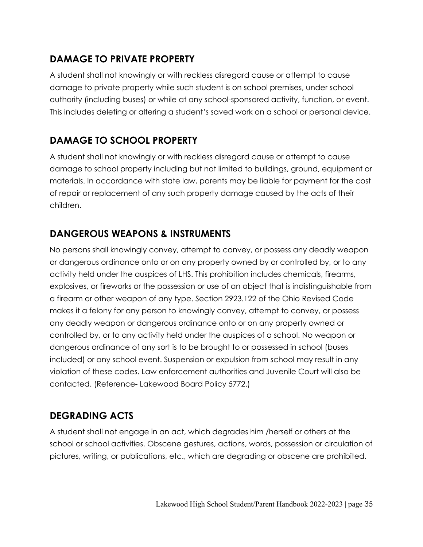# **DAMAGE TO PRIVATE PROPERTY**

A student shall not knowingly or with reckless disregard cause or attempt to cause damage to private property while such student is on school premises, under school authority (including buses) or while at any school-sponsored activity, function, or event. This includes deleting or altering a student's saved work on a school or personal device.

# **DAMAGE TO SCHOOL PROPERTY**

A student shall not knowingly or with reckless disregard cause or attempt to cause damage to school property including but not limited to buildings, ground, equipment or materials. In accordance with state law, parents may be liable for payment for the cost of repair or replacement of any such property damage caused by the acts of their children.

# **DANGEROUS WEAPONS & INSTRUMENTS**

No persons shall knowingly convey, attempt to convey, or possess any deadly weapon or dangerous ordinance onto or on any property owned by or controlled by, or to any activity held under the auspices of LHS. This prohibition includes chemicals, firearms, explosives, or fireworks or the possession or use of an object that is indistinguishable from a firearm or other weapon of any type. Section 2923.122 of the Ohio Revised Code makes it a felony for any person to knowingly convey, attempt to convey, or possess any deadly weapon or dangerous ordinance onto or on any property owned or controlled by, or to any activity held under the auspices of a school. No weapon or dangerous ordinance of any sort is to be brought to or possessed in school (buses included) or any school event. Suspension or expulsion from school may result in any violation of these codes. Law enforcement authorities and Juvenile Court will also be contacted. (Reference- Lakewood Board Policy 5772.)

# **DEGRADING ACTS**

A student shall not engage in an act, which degrades him /herself or others at the school or school activities. Obscene gestures, actions, words, possession or circulation of pictures, writing, or publications, etc., which are degrading or obscene are prohibited.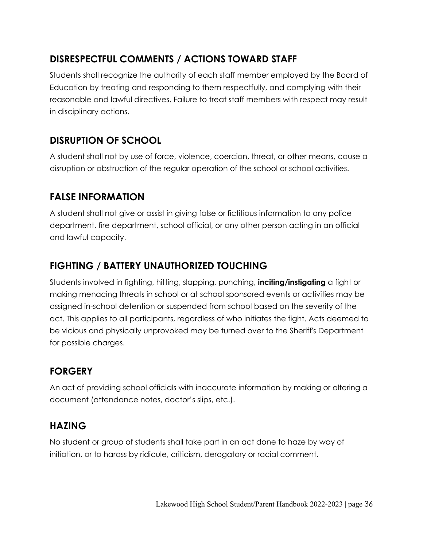## **DISRESPECTFUL COMMENTS / ACTIONS TOWARD STAFF**

Students shall recognize the authority of each staff member employed by the Board of Education by treating and responding to them respectfully, and complying with their reasonable and lawful directives. Failure to treat staff members with respect may result in disciplinary actions.

# **DISRUPTION OF SCHOOL**

A student shall not by use of force, violence, coercion, threat, or other means, cause a disruption or obstruction of the regular operation of the school or school activities.

## **FALSE INFORMATION**

A student shall not give or assist in giving false or fictitious information to any police department, fire department, school official, or any other person acting in an official and lawful capacity.

## **FIGHTING / BATTERY UNAUTHORIZED TOUCHING**

Students involved in fighting, hitting, slapping, punching, **inciting/instigating** a fight or making menacing threats in school or at school sponsored events or activities may be assigned in-school detention or suspended from school based on the severity of the act. This applies to all participants, regardless of who initiates the fight. Acts deemed to be vicious and physically unprovoked may be turned over to the Sheriff's Department for possible charges.

## **FORGERY**

An act of providing school officials with inaccurate information by making or altering a document (attendance notes, doctor's slips, etc.).

## **HAZING**

No student or group of students shall take part in an act done to haze by way of initiation, or to harass by ridicule, criticism, derogatory or racial comment.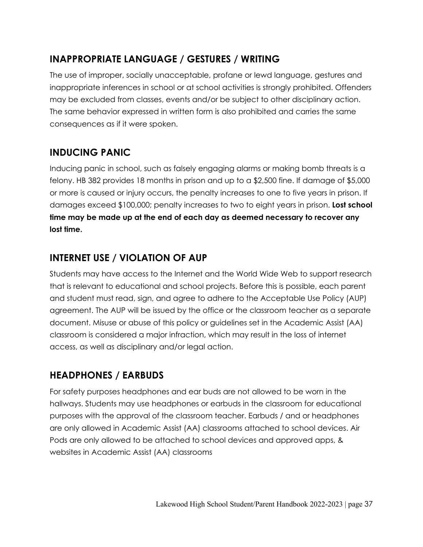## **INAPPROPRIATE LANGUAGE / GESTURES / WRITING**

The use of improper, socially unacceptable, profane or lewd language, gestures and inappropriate inferences in school or at school activities is strongly prohibited. Offenders may be excluded from classes, events and/or be subject to other disciplinary action. The same behavior expressed in written form is also prohibited and carries the same consequences as if it were spoken.

## **INDUCING PANIC**

Inducing panic in school, such as falsely engaging alarms or making bomb threats is a felony. HB 382 provides 18 months in prison and up to a \$2,500 fine. If damage of \$5,000 or more is caused or injury occurs, the penalty increases to one to five years in prison. If damages exceed \$100,000; penalty increases to two to eight years in prison. **Lost school time may be made up at the end of each day as deemed necessary to recover any lost time.**

## **INTERNET USE / VIOLATION OF AUP**

Students may have access to the Internet and the World Wide Web to support research that is relevant to educational and school projects. Before this is possible, each parent and student must read, sign, and agree to adhere to the Acceptable Use Policy (AUP) agreement. The AUP will be issued by the office or the classroom teacher as a separate document. Misuse or abuse of this policy or guidelines set in the Academic Assist (AA) classroom is considered a major infraction, which may result in the loss of internet access, as well as disciplinary and/or legal action.

## **HEADPHONES / EARBUDS**

For safety purposes headphones and ear buds are not allowed to be worn in the hallways. Students may use headphones or earbuds in the classroom for educational purposes with the approval of the classroom teacher. Earbuds / and or headphones are only allowed in Academic Assist (AA) classrooms attached to school devices. Air Pods are only allowed to be attached to school devices and approved apps, & websites in Academic Assist (AA) classrooms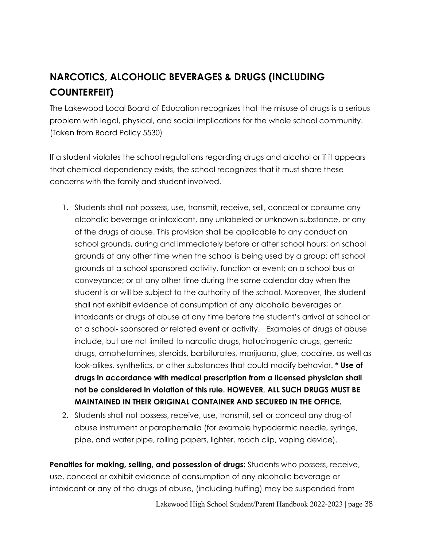# **NARCOTICS, ALCOHOLIC BEVERAGES & DRUGS (INCLUDING COUNTERFEIT)**

The Lakewood Local Board of Education recognizes that the misuse of drugs is a serious problem with legal, physical, and social implications for the whole school community. (Taken from Board Policy 5530)

If a student violates the school regulations regarding drugs and alcohol or if it appears that chemical dependency exists, the school recognizes that it must share these concerns with the family and student involved.

- 1. Students shall not possess, use, transmit, receive, sell, conceal or consume any alcoholic beverage or intoxicant, any unlabeled or unknown substance, or any of the drugs of abuse. This provision shall be applicable to any conduct on school grounds, during and immediately before or after school hours; on school grounds at any other time when the school is being used by a group; off school grounds at a school sponsored activity, function or event; on a school bus or conveyance; or at any other time during the same calendar day when the student is or will be subject to the authority of the school. Moreover, the student shall not exhibit evidence of consumption of any alcoholic beverages or intoxicants or drugs of abuse at any time before the student's arrival at school or at a school- sponsored or related event or activity. Examples of drugs of abuse include, but are not limited to narcotic drugs, hallucinogenic drugs, generic drugs, amphetamines, steroids, barbiturates, marijuana, glue, cocaine, as well as look-alikes, synthetics, or other substances that could modify behavior. **\* Use of drugs in accordance with medical prescription from a licensed physician shall not be considered in violation of this rule. HOWEVER, ALL SUCH DRUGS MUST BE MAINTAINED IN THEIR ORIGINAL CONTAINER AND SECURED IN THE OFFICE.**
- 2. Students shall not possess, receive, use, transmit, sell or conceal any drug-of abuse instrument or paraphernalia (for example hypodermic needle, syringe, pipe, and water pipe, rolling papers, lighter, roach clip, vaping device).

**Penalties for making, selling, and possession of drugs:** Students who possess, receive, use, conceal or exhibit evidence of consumption of any alcoholic beverage or intoxicant or any of the drugs of abuse, (including huffing) may be suspended from

Lakewood High School Student/Parent Handbook 2022-2023 | page 38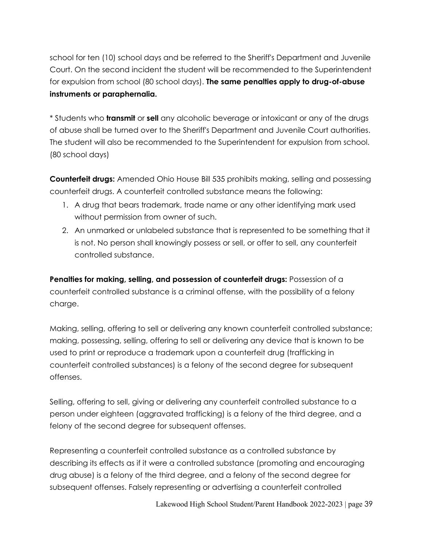school for ten (10) school days and be referred to the Sheriff's Department and Juvenile Court. On the second incident the student will be recommended to the Superintendent for expulsion from school (80 school days). **The same penalties apply to drug-of-abuse instruments or paraphernalia.**

\* Students who **transmit** or **sell** any alcoholic beverage or intoxicant or any of the drugs of abuse shall be turned over to the Sheriff's Department and Juvenile Court authorities. The student will also be recommended to the Superintendent for expulsion from school. (80 school days)

**Counterfeit drugs:** Amended Ohio House Bill 535 prohibits making, selling and possessing counterfeit drugs. A counterfeit controlled substance means the following:

- 1. A drug that bears trademark, trade name or any other identifying mark used without permission from owner of such.
- 2. An unmarked or unlabeled substance that is represented to be something that it is not. No person shall knowingly possess or sell, or offer to sell, any counterfeit controlled substance.

**Penalties for making, selling, and possession of counterfeit drugs:** Possession of a counterfeit controlled substance is a criminal offense, with the possibility of a felony charge.

Making, selling, offering to sell or delivering any known counterfeit controlled substance; making, possessing, selling, offering to sell or delivering any device that is known to be used to print or reproduce a trademark upon a counterfeit drug (trafficking in counterfeit controlled substances) is a felony of the second degree for subsequent offenses.

Selling, offering to sell, giving or delivering any counterfeit controlled substance to a person under eighteen (aggravated trafficking) is a felony of the third degree, and a felony of the second degree for subsequent offenses.

Representing a counterfeit controlled substance as a controlled substance by describing its effects as if it were a controlled substance (promoting and encouraging drug abuse) is a felony of the third degree, and a felony of the second degree for subsequent offenses. Falsely representing or advertising a counterfeit controlled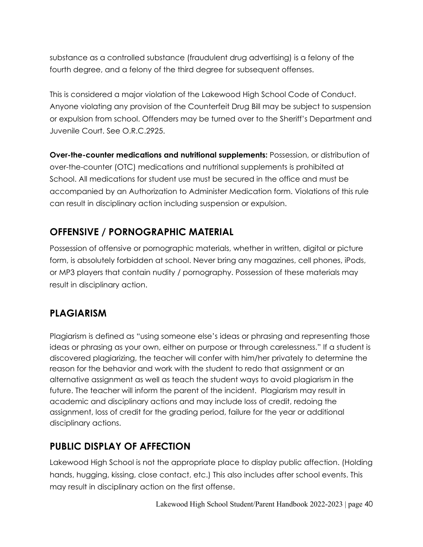substance as a controlled substance (fraudulent drug advertising) is a felony of the fourth degree, and a felony of the third degree for subsequent offenses.

This is considered a major violation of the Lakewood High School Code of Conduct. Anyone violating any provision of the Counterfeit Drug Bill may be subject to suspension or expulsion from school. Offenders may be turned over to the Sheriff's Department and Juvenile Court. See O.R.C.2925.

**Over-the-counter medications and nutritional supplements:** Possession, or distribution of over-the-counter (OTC) medications and nutritional supplements is prohibited at School. All medications for student use must be secured in the office and must be accompanied by an Authorization to Administer Medication form. Violations of this rule can result in disciplinary action including suspension or expulsion.

## **OFFENSIVE / PORNOGRAPHIC MATERIAL**

Possession of offensive or pornographic materials, whether in written, digital or picture form, is absolutely forbidden at school. Never bring any magazines, cell phones, iPods, or MP3 players that contain nudity / pornography. Possession of these materials may result in disciplinary action.

#### **PLAGIARISM**

Plagiarism is defined as "using someone else's ideas or phrasing and representing those ideas or phrasing as your own, either on purpose or through carelessness." If a student is discovered plagiarizing, the teacher will confer with him/her privately to determine the reason for the behavior and work with the student to redo that assignment or an alternative assignment as well as teach the student ways to avoid plagiarism in the future. The teacher will inform the parent of the incident. Plagiarism may result in academic and disciplinary actions and may include loss of credit, redoing the assignment, loss of credit for the grading period, failure for the year or additional disciplinary actions.

## **PUBLIC DISPLAY OF AFFECTION**

Lakewood High School is not the appropriate place to display public affection. (Holding hands, hugging, kissing, close contact, etc.) This also includes after school events. This may result in disciplinary action on the first offense.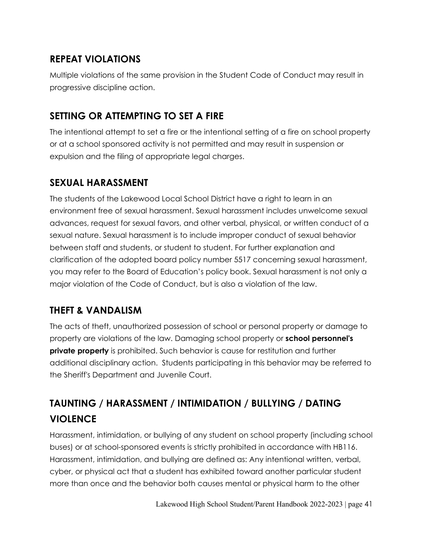## **REPEAT VIOLATIONS**

Multiple violations of the same provision in the Student Code of Conduct may result in progressive discipline action.

## **SETTING OR ATTEMPTING TO SET A FIRE**

The intentional attempt to set a fire or the intentional setting of a fire on school property or at a school sponsored activity is not permitted and may result in suspension or expulsion and the filing of appropriate legal charges.

## **SEXUAL HARASSMENT**

The students of the Lakewood Local School District have a right to learn in an environment free of sexual harassment. Sexual harassment includes unwelcome sexual advances, request for sexual favors, and other verbal, physical, or written conduct of a sexual nature. Sexual harassment is to include improper conduct of sexual behavior between staff and students, or student to student. For further explanation and clarification of the adopted board policy number 5517 concerning sexual harassment, you may refer to the Board of Education's policy book. Sexual harassment is not only a major violation of the Code of Conduct, but is also a violation of the law.

## **THEFT & VANDALISM**

The acts of theft, unauthorized possession of school or personal property or damage to property are violations of the law. Damaging school property or **school personnel's private property** is prohibited. Such behavior is cause for restitution and further additional disciplinary action. Students participating in this behavior may be referred to the Sheriff's Department and Juvenile Court.

# **TAUNTING / HARASSMENT / INTIMIDATION / BULLYING / DATING VIOLENCE**

Harassment, intimidation, or bullying of any student on school property (including school buses) or at school-sponsored events is strictly prohibited in accordance with HB116. Harassment, intimidation, and bullying are defined as: Any intentional written, verbal, cyber, or physical act that a student has exhibited toward another particular student more than once and the behavior both causes mental or physical harm to the other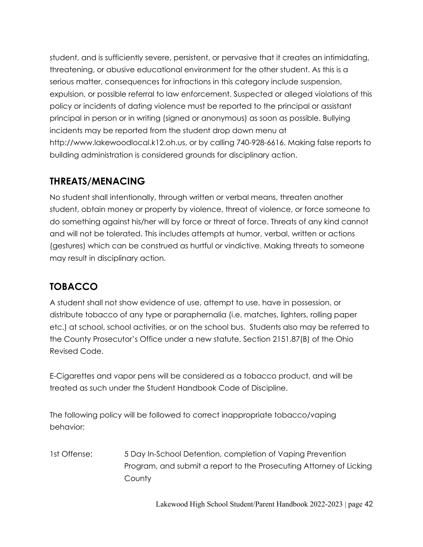student, and is sufficiently severe, persistent, or pervasive that it creates an intimidating, threatening, or abusive educational environment for the other student. As this is a serious matter, consequences for infractions in this category include suspension, expulsion, or possible referral to law enforcement. Suspected or alleged violations of this policy or incidents of dating violence must be reported to the principal or assistant principal in person or in writing (signed or anonymous) as soon as possible. Bullying incidents may be reported from the student drop down menu at http://www.lakewoodlocal.k12.oh.us, or by calling 740-928-6616. Making false reports to building administration is considered grounds for disciplinary action.

## **THREATS/MENACING**

No student shall intentionally, through written or verbal means, threaten another student, obtain money or property by violence, threat of violence, or force someone to do something against his/her will by force or threat of force. Threats of any kind cannot and will not be tolerated. This includes attempts at humor, verbal, written or actions (gestures) which can be construed as hurtful or vindictive. Making threats to someone may result in disciplinary action.

## **TOBACCO**

A student shall not show evidence of use, attempt to use, have in possession, or distribute tobacco of any type or paraphernalia (i.e. matches, lighters, rolling paper etc.) at school, school activities, or on the school bus. Students also may be referred to the County Prosecutor's Office under a new statute, Section 2151.87(B) of the Ohio Revised Code.

E-Cigarettes and vapor pens will be considered as a tobacco product, and will be treated as such under the Student Handbook Code of Discipline.

The following policy will be followed to correct inappropriate tobacco/vaping behavior:

1st Offense: 5 Day In-School Detention, completion of Vaping Prevention Program, and submit a report to the Prosecuting Attorney of Licking **County** 

Lakewood High School Student/Parent Handbook 2022-2023 | page 42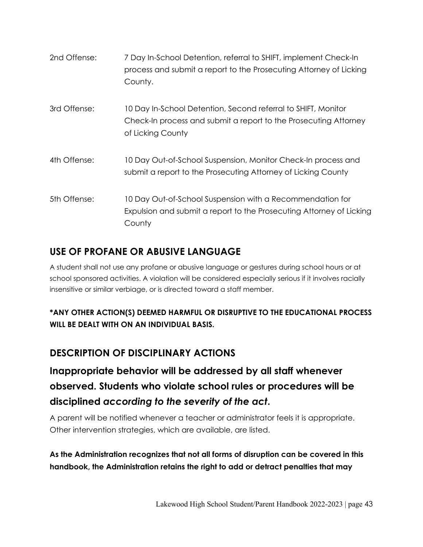| 2nd Offense: | 7 Day In-School Detention, referral to SHIFT, implement Check-In<br>process and submit a report to the Prosecuting Attorney of Licking<br>County.      |
|--------------|--------------------------------------------------------------------------------------------------------------------------------------------------------|
| 3rd Offense: | 10 Day In-School Detention, Second referral to SHIFT, Monitor<br>Check-In process and submit a report to the Prosecuting Attorney<br>of Licking County |
| 4th Offense: | 10 Day Out-of-School Suspension, Monitor Check-In process and<br>submit a report to the Prosecuting Attorney of Licking County                         |
| 5th Offense: | 10 Day Out-of-School Suspension with a Recommendation for<br>Expulsion and submit a report to the Prosecuting Attorney of Licking<br>County            |

## **USE OF PROFANE OR ABUSIVE LANGUAGE**

A student shall not use any profane or abusive language or gestures during school hours or at school sponsored activities. A violation will be considered especially serious if it involves racially insensitive or similar verbiage, or is directed toward a staff member.

#### **\*ANY OTHER ACTION(S) DEEMED HARMFUL OR DISRUPTIVE TO THE EDUCATIONAL PROCESS WILL BE DEALT WITH ON AN INDIVIDUAL BASIS.**

## **DESCRIPTION OF DISCIPLINARY ACTIONS**

# **Inappropriate behavior will be addressed by all staff whenever observed. Students who violate school rules or procedures will be disciplined** *according to the severity of the act***.**

A parent will be notified whenever a teacher or administrator feels it is appropriate. Other intervention strategies, which are available, are listed.

**As the Administration recognizes that not all forms of disruption can be covered in this handbook, the Administration retains the right to add or detract penalties that may**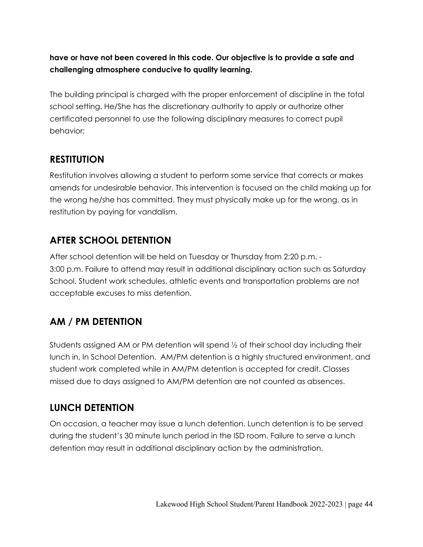**have or have not been covered in this code. Our objective is to provide a safe and challenging atmosphere conducive to quality learning.**

The building principal is charged with the proper enforcement of discipline in the total school setting. He/She has the discretionary authority to apply or authorize other certificated personnel to use the following disciplinary measures to correct pupil behavior:

#### **RESTITUTION**

Restitution involves allowing a student to perform some service that corrects or makes amends for undesirable behavior. This intervention is focused on the child making up for the wrong he/she has committed. They must physically make up for the wrong, as in restitution by paying for vandalism.

#### **AFTER SCHOOL DETENTION**

After school detention will be held on Tuesday or Thursday from 2:20 p.m. - 3:00 p.m. Failure to attend may result in additional disciplinary action such as Saturday School. Student work schedules, athletic events and transportation problems are not acceptable excuses to miss detention.

## **AM / PM DETENTION**

Students assigned AM or PM detention will spend ½ of their school day including their lunch in, In School Detention. AM/PM detention is a highly structured environment, and student work completed while in AM/PM detention is accepted for credit. Classes missed due to days assigned to AM/PM detention are not counted as absences.

## **LUNCH DETENTION**

On occasion, a teacher may issue a lunch detention. Lunch detention is to be served during the student's 30 minute lunch period in the ISD room. Failure to serve a lunch detention may result in additional disciplinary action by the administration.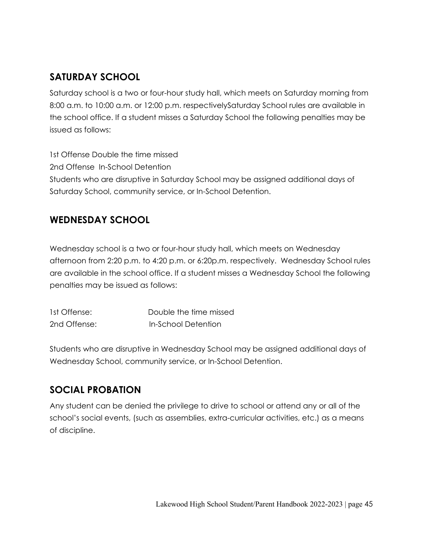## **SATURDAY SCHOOL**

Saturday school is a two or four-hour study hall, which meets on Saturday morning from 8:00 a.m. to 10:00 a.m. or 12:00 p.m. respectivelySaturday School rules are available in the school office. If a student misses a Saturday School the following penalties may be issued as follows:

1st Offense Double the time missed

2nd Offense In-School Detention

Students who are disruptive in Saturday School may be assigned additional days of Saturday School, community service, or In-School Detention.

## **WEDNESDAY SCHOOL**

Wednesday school is a two or four-hour study hall, which meets on Wednesday afternoon from 2:20 p.m. to 4:20 p.m. or 6:20p.m. respectively. Wednesday School rules are available in the school office. If a student misses a Wednesday School the following penalties may be issued as follows:

| 1st Offense: | Double the time missed |
|--------------|------------------------|
| 2nd Offense: | In-School Detention    |

Students who are disruptive in Wednesday School may be assigned additional days of Wednesday School, community service, or In-School Detention.

#### **SOCIAL PROBATION**

Any student can be denied the privilege to drive to school or attend any or all of the school's social events, (such as assemblies, extra-curricular activities, etc.) as a means of discipline.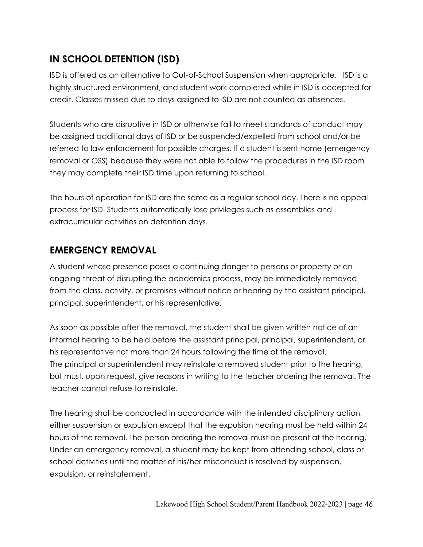# **IN SCHOOL DETENTION (ISD)**

ISD is offered as an alternative to Out-of-School Suspension when appropriate. ISD is a highly structured environment, and student work completed while in ISD is accepted for credit. Classes missed due to days assigned to ISD are not counted as absences.

Students who are disruptive in ISD or otherwise fail to meet standards of conduct may be assigned additional days of ISD or be suspended/expelled from school and/or be referred to law enforcement for possible charges. If a student is sent home (emergency removal or OSS) because they were not able to follow the procedures in the ISD room they may complete their ISD time upon returning to school.

The hours of operation for ISD are the same as a regular school day. There is no appeal process for ISD. Students automatically lose privileges such as assemblies and extracurricular activities on detention days.

## **EMERGENCY REMOVAL**

A student whose presence poses a continuing danger to persons or property or an ongoing threat of disrupting the academics process, may be immediately removed from the class, activity, or premises without notice or hearing by the assistant principal, principal, superintendent, or his representative.

As soon as possible after the removal, the student shall be given written notice of an informal hearing to be held before the assistant principal, principal, superintendent, or his representative not more than 24 hours following the time of the removal. The principal or superintendent may reinstate a removed student prior to the hearing, but must, upon request, give reasons in writing to the teacher ordering the removal. The teacher cannot refuse to reinstate.

The hearing shall be conducted in accordance with the intended disciplinary action, either suspension or expulsion except that the expulsion hearing must be held within 24 hours of the removal. The person ordering the removal must be present at the hearing. Under an emergency removal, a student may be kept from attending school, class or school activities until the matter of his/her misconduct is resolved by suspension, expulsion, or reinstatement.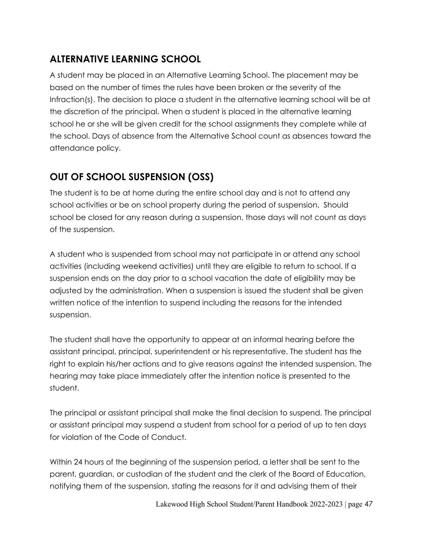## **ALTERNATIVE LEARNING SCHOOL**

A student may be placed in an Alternative Learning School. The placement may be based on the number of times the rules have been broken or the severity of the Infraction(s). The decision to place a student in the alternative learning school will be at the discretion of the principal. When a student is placed in the alternative learning school he or she will be given credit for the school assignments they complete while at the school. Days of absence from the Alternative School count as absences toward the attendance policy.

## **OUT OF SCHOOL SUSPENSION (OSS)**

The student is to be at home during the entire school day and is not to attend any school activities or be on school property during the period of suspension. Should school be closed for any reason during a suspension, those days will not count as days of the suspension.

A student who is suspended from school may not participate in or attend any school activities (including weekend activities) until they are eligible to return to school. If a suspension ends on the day prior to a school vacation the date of eligibility may be adjusted by the administration. When a suspension is issued the student shall be given written notice of the intention to suspend including the reasons for the intended suspension.

The student shall have the opportunity to appear at an informal hearing before the assistant principal, principal, superintendent or his representative. The student has the right to explain his/her actions and to give reasons against the intended suspension. The hearing may take place immediately after the intention notice is presented to the student.

The principal or assistant principal shall make the final decision to suspend. The principal or assistant principal may suspend a student from school for a period of up to ten days for violation of the Code of Conduct.

Within 24 hours of the beginning of the suspension period, a letter shall be sent to the parent, guardian, or custodian of the student and the clerk of the Board of Education, notifying them of the suspension, stating the reasons for it and advising them of their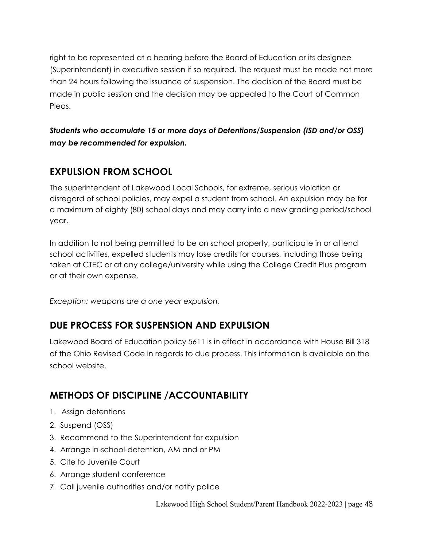right to be represented at a hearing before the Board of Education or its designee (Superintendent) in executive session if so required. The request must be made not more than 24 hours following the issuance of suspension. The decision of the Board must be made in public session and the decision may be appealed to the Court of Common Pleas.

#### *Students who accumulate 15 or more days of Detentions/Suspension (ISD and/or OSS) may be recommended for expulsion.*

## **EXPULSION FROM SCHOOL**

The superintendent of Lakewood Local Schools, for extreme, serious violation or disregard of school policies, may expel a student from school. An expulsion may be for a maximum of eighty (80) school days and may carry into a new grading period/school year.

In addition to not being permitted to be on school property, participate in or attend school activities, expelled students may lose credits for courses, including those being taken at CTEC or at any college/university while using the College Credit Plus program or at their own expense.

*Exception: weapons are a one year expulsion.*

## **DUE PROCESS FOR SUSPENSION AND EXPULSION**

Lakewood Board of Education policy 5611 is in effect in accordance with House Bill 318 of the Ohio Revised Code in regards to due process. This information is available on the school website.

## **METHODS OF DISCIPLINE /ACCOUNTABILITY**

- 1. Assign detentions
- 2. Suspend (OSS)
- 3. Recommend to the Superintendent for expulsion
- 4. Arrange in-school-detention, AM and or PM
- 5. Cite to Juvenile Court
- 6. Arrange student conference
- 7. Call juvenile authorities and/or notify police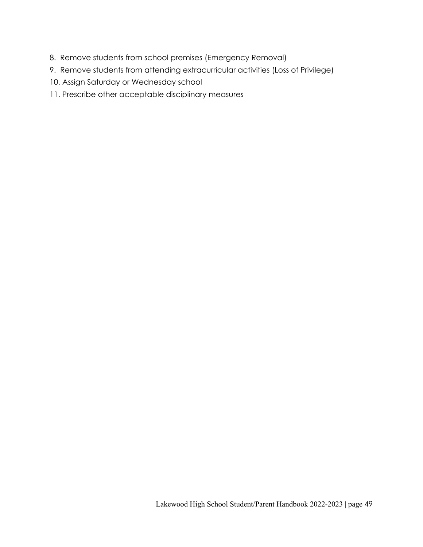- 8. Remove students from school premises (Emergency Removal)
- 9. Remove students from attending extracurricular activities (Loss of Privilege)
- 10. Assign Saturday or Wednesday school
- 11. Prescribe other acceptable disciplinary measures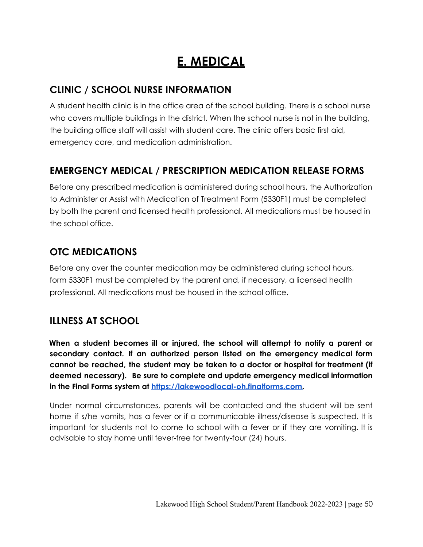# **E. MEDICAL**

## **CLINIC / SCHOOL NURSE INFORMATION**

A student health clinic is in the office area of the school building. There is a school nurse who covers multiple buildings in the district. When the school nurse is not in the building, the building office staff will assist with student care. The clinic offers basic first aid, emergency care, and medication administration.

## **EMERGENCY MEDICAL / PRESCRIPTION MEDICATION RELEASE FORMS**

Before any prescribed medication is administered during school hours, the Authorization to Administer or Assist with Medication of Treatment Form (5330F1) must be completed by both the parent and licensed health professional. All medications must be housed in the school office.

## **OTC MEDICATIONS**

Before any over the counter medication may be administered during school hours, form 5330F1 must be completed by the parent and, if necessary, a licensed health professional. All medications must be housed in the school office.

## **ILLNESS AT SCHOOL**

**When a student becomes ill or injured, the school will attempt to notify a parent or secondary contact. If an authorized person listed on the emergency medical form cannot be reached, the student may be taken to a doctor or hospital for treatment (if deemed necessary). Be sure to complete and update emergency medical information in the Final Forms system at [https://lakewoodlocal-oh.finalforms.com.](https://lakewoodlocal-oh.finalforms.com)**

Under normal circumstances, parents will be contacted and the student will be sent home if s/he vomits, has a fever or if a communicable illness/disease is suspected. It is important for students not to come to school with a fever or if they are vomiting. It is advisable to stay home until fever-free for twenty-four (24) hours.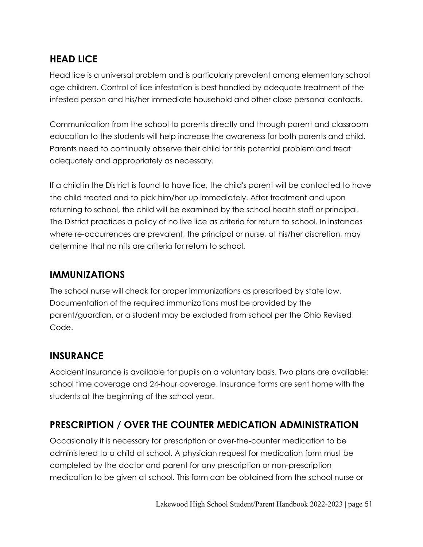## **HEAD LICE**

Head lice is a universal problem and is particularly prevalent among elementary school age children. Control of lice infestation is best handled by adequate treatment of the infested person and his/her immediate household and other close personal contacts.

Communication from the school to parents directly and through parent and classroom education to the students will help increase the awareness for both parents and child. Parents need to continually observe their child for this potential problem and treat adequately and appropriately as necessary.

If a child in the District is found to have lice, the child's parent will be contacted to have the child treated and to pick him/her up immediately. After treatment and upon returning to school, the child will be examined by the school health staff or principal. The District practices a policy of no live lice as criteria for return to school. In instances where re-occurrences are prevalent, the principal or nurse, at his/her discretion, may determine that no nits are criteria for return to school.

#### **IMMUNIZATIONS**

The school nurse will check for proper immunizations as prescribed by state law. Documentation of the required immunizations must be provided by the parent/guardian, or a student may be excluded from school per the Ohio Revised Code.

## **INSURANCE**

Accident insurance is available for pupils on a voluntary basis. Two plans are available: school time coverage and 24-hour coverage. Insurance forms are sent home with the students at the beginning of the school year.

## **PRESCRIPTION / OVER THE COUNTER MEDICATION ADMINISTRATION**

Occasionally it is necessary for prescription or over-the-counter medication to be administered to a child at school. A physician request for medication form must be completed by the doctor and parent for any prescription or non-prescription medication to be given at school. This form can be obtained from the school nurse or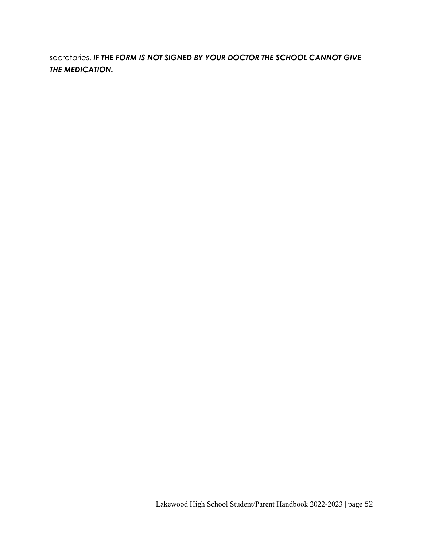secretaries. *IF THE FORM IS NOT SIGNED BY YOUR DOCTOR THE SCHOOL CANNOT GIVE THE MEDICATION.*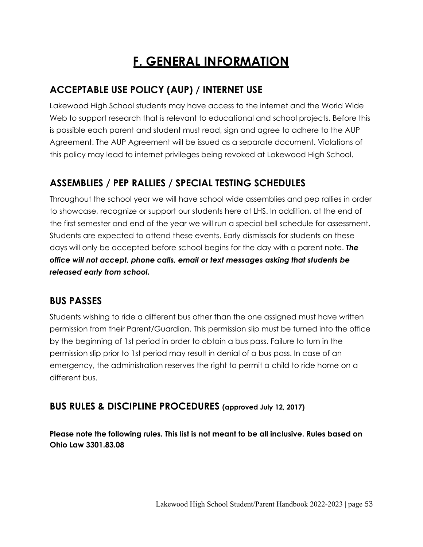# **F. GENERAL INFORMATION**

## **ACCEPTABLE USE POLICY (AUP) / INTERNET USE**

Lakewood High School students may have access to the internet and the World Wide Web to support research that is relevant to educational and school projects. Before this is possible each parent and student must read, sign and agree to adhere to the AUP Agreement. The AUP Agreement will be issued as a separate document. Violations of this policy may lead to internet privileges being revoked at Lakewood High School.

# **ASSEMBLIES / PEP RALLIES / SPECIAL TESTING SCHEDULES**

Throughout the school year we will have school wide assemblies and pep rallies in order to showcase, recognize or support our students here at LHS. In addition, at the end of the first semester and end of the year we will run a special bell schedule for assessment. Students are expected to attend these events. Early dismissals for students on these days will only be accepted before school begins for the day with a parent note. *The office will not accept, phone calls, email or text messages asking that students be released early from school.*

## **BUS PASSES**

Students wishing to ride a different bus other than the one assigned must have written permission from their Parent/Guardian. This permission slip must be turned into the office by the beginning of 1st period in order to obtain a bus pass. Failure to turn in the permission slip prior to 1st period may result in denial of a bus pass. In case of an emergency, the administration reserves the right to permit a child to ride home on a different bus.

#### **BUS RULES & DISCIPLINE PROCEDURES (approved July 12, 2017)**

**Please note the following rules. This list is not meant to be all inclusive. Rules based on Ohio Law 3301.83.08**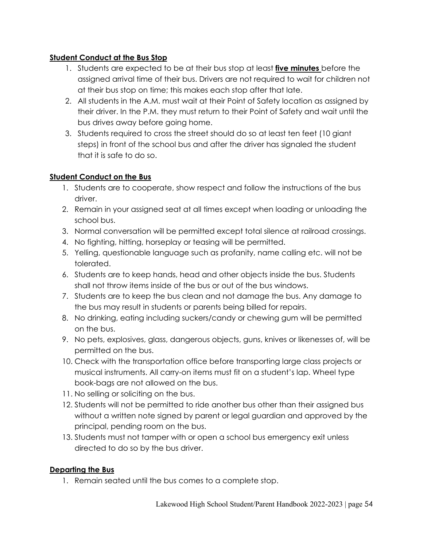#### **Student Conduct at the Bus Stop**

- 1. Students are expected to be at their bus stop at least **five minutes** before the assigned arrival time of their bus. Drivers are not required to wait for children not at their bus stop on time; this makes each stop after that late.
- 2. All students in the A.M. must wait at their Point of Safety location as assigned by their driver. In the P.M. they must return to their Point of Safety and wait until the bus drives away before going home.
- 3. Students required to cross the street should do so at least ten feet (10 giant steps) in front of the school bus and after the driver has signaled the student that it is safe to do so.

#### **Student Conduct on the Bus**

- 1. Students are to cooperate, show respect and follow the instructions of the bus driver.
- 2. Remain in your assigned seat at all times except when loading or unloading the school bus.
- 3. Normal conversation will be permitted except total silence at railroad crossings.
- 4. No fighting, hitting, horseplay or teasing will be permitted.
- 5. Yelling, questionable language such as profanity, name calling etc. will not be tolerated.
- 6. Students are to keep hands, head and other objects inside the bus. Students shall not throw items inside of the bus or out of the bus windows.
- 7. Students are to keep the bus clean and not damage the bus. Any damage to the bus may result in students or parents being billed for repairs.
- 8. No drinking, eating including suckers/candy or chewing gum will be permitted on the bus.
- 9. No pets, explosives, glass, dangerous objects, guns, knives or likenesses of, will be permitted on the bus.
- 10. Check with the transportation office before transporting large class projects or musical instruments. All carry-on items must fit on a student's lap. Wheel type book-bags are not allowed on the bus.
- 11. No selling or soliciting on the bus.
- 12. Students will not be permitted to ride another bus other than their assigned bus without a written note signed by parent or legal guardian and approved by the principal, pending room on the bus.
- 13. Students must not tamper with or open a school bus emergency exit unless directed to do so by the bus driver.

#### **Departing the Bus**

1. Remain seated until the bus comes to a complete stop.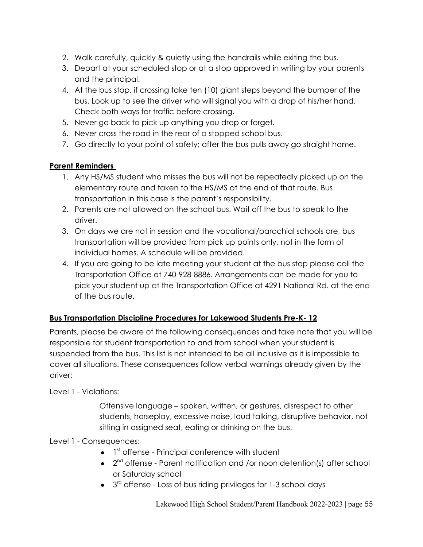- 2. Walk carefully, quickly & quietly using the handrails while exiting the bus.
- 3. Depart at your scheduled stop or at a stop approved in writing by your parents and the principal.
- 4. At the bus stop, if crossing take ten (10) giant steps beyond the bumper of the bus. Look up to see the driver who will signal you with a drop of his/her hand. Check both ways for traffic before crossing.
- 5. Never go back to pick up anything you drop or forget.
- 6. Never cross the road in the rear of a stopped school bus.
- 7. Go directly to your point of safety; after the bus pulls away go straight home.

#### **Parent Reminders**

- 1. Any HS/MS student who misses the bus will not be repeatedly picked up on the elementary route and taken to the HS/MS at the end of that route. Bus transportation in this case is the parent's responsibility.
- 2. Parents are not allowed on the school bus. Wait off the bus to speak to the driver.
- 3. On days we are not in session and the vocational/parochial schools are, bus transportation will be provided from pick up points only, not in the form of individual homes. A schedule will be provided.
- 4. If you are going to be late meeting your student at the bus stop please call the Transportation Office at 740-928-8886. Arrangements can be made for you to pick your student up at the Transportation Office at 4291 National Rd. at the end of the bus route.

#### **Bus Transportation Discipline Procedures for Lakewood Students Pre-K- 12**

Parents, please be aware of the following consequences and take note that you will be responsible for student transportation to and from school when your student is suspended from the bus. This list is not intended to be all inclusive as it is impossible to cover all situations. These consequences follow verbal warnings already given by the driver:

Level 1 - Violations:

Offensive language – spoken, written, or gestures, disrespect to other students, horseplay, excessive noise, loud talking, disruptive behavior, not sitting in assigned seat, eating or drinking on the bus.

#### Level 1 - Consequences:

- $\bullet$  1<sup>st</sup> offense Principal conference with student
- $\bullet$   $2^{nd}$  offense Parent notification and /or noon detention(s) after school or Saturday school
- 3<sup>rd</sup> offense Loss of bus riding privileges for 1-3 school days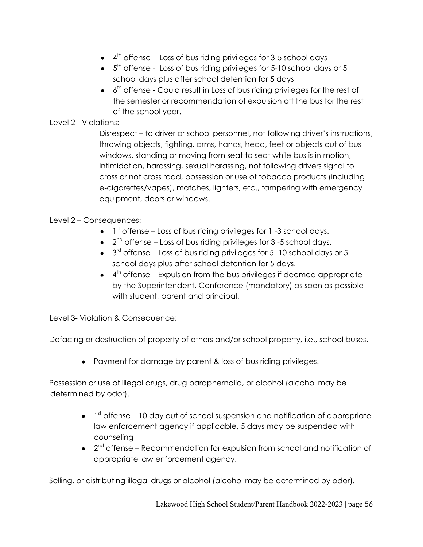- $\bullet$  4<sup>th</sup> offense Loss of bus riding privileges for 3-5 school days
- $\bullet$  5<sup>th</sup> offense Loss of bus riding privileges for 5-10 school days or 5 school days plus after school detention for 5 days
- $\bullet$  6<sup>th</sup> offense Could result in Loss of bus riding privileges for the rest of the semester or recommendation of expulsion off the bus for the rest of the school year.

#### Level 2 - Violations:

Disrespect – to driver or school personnel, not following driver's instructions, throwing objects, fighting, arms, hands, head, feet or objects out of bus windows, standing or moving from seat to seat while bus is in motion, intimidation, harassing, sexual harassing, not following drivers signal to cross or not cross road, possession or use of tobacco products (including e-cigarettes/vapes), matches, lighters, etc., tampering with emergency equipment, doors or windows.

#### Level 2 – Consequences:

- $\bullet$  1<sup>st</sup> offense Loss of bus riding privileges for 1 -3 school days.
- $\bullet$   $2^{nd}$  offense Loss of bus riding privileges for 3-5 school days.
- $\bullet$  3<sup>rd</sup> offense Loss of bus riding privileges for 5-10 school days or 5 school days plus after-school detention for 5 days.
- $\bullet$  4<sup>th</sup> offense Expulsion from the bus privileges if deemed appropriate by the Superintendent. Conference (mandatory) as soon as possible with student, parent and principal.

Level 3- Violation & Consequence:

Defacing or destruction of property of others and/or school property, i.e., school buses.

● Payment for damage by parent & loss of bus riding privileges.

Possession or use of illegal drugs, drug paraphernalia, or alcohol (alcohol may be determined by odor).

- $\bullet$  1<sup>st</sup> offense 10 day out of school suspension and notification of appropriate law enforcement agency if applicable, 5 days may be suspended with counseling
- $\bullet$   $2^{nd}$  offense Recommendation for expulsion from school and notification of appropriate law enforcement agency.

Selling, or distributing illegal drugs or alcohol (alcohol may be determined by odor).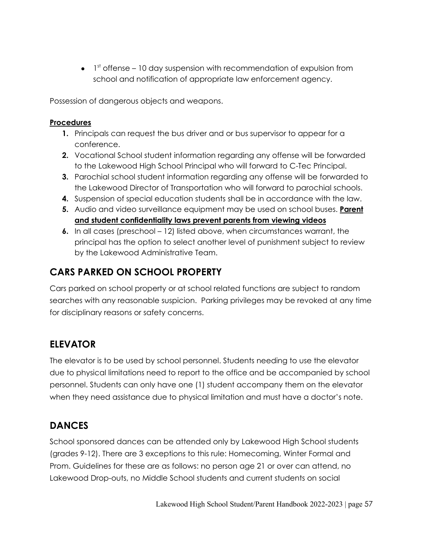$\bullet$  1<sup>st</sup> offense – 10 day suspension with recommendation of expulsion from school and notification of appropriate law enforcement agency.

Possession of dangerous objects and weapons.

#### **Procedures**

- **1.** Principals can request the bus driver and or bus supervisor to appear for a conference.
- **2.** Vocational School student information regarding any offense will be forwarded to the Lakewood High School Principal who will forward to C-Tec Principal.
- **3.** Parochial school student information regarding any offense will be forwarded to the Lakewood Director of Transportation who will forward to parochial schools.
- **4.** Suspension of special education students shall be in accordance with the law.
- **5.** Audio and video surveillance equipment may be used on school buses. **Parent and student confidentiality laws prevent parents from viewing videos**
- **6.** In all cases (preschool 12) listed above, when circumstances warrant, the principal has the option to select another level of punishment subject to review by the Lakewood Administrative Team.

## **CARS PARKED ON SCHOOL PROPERTY**

Cars parked on school property or at school related functions are subject to random searches with any reasonable suspicion. Parking privileges may be revoked at any time for disciplinary reasons or safety concerns.

## **ELEVATOR**

The elevator is to be used by school personnel. Students needing to use the elevator due to physical limitations need to report to the office and be accompanied by school personnel. Students can only have one (1) student accompany them on the elevator when they need assistance due to physical limitation and must have a doctor's note.

#### **DANCES**

School sponsored dances can be attended only by Lakewood High School students (grades 9-12). There are 3 exceptions to this rule: Homecoming, Winter Formal and Prom. Guidelines for these are as follows: no person age 21 or over can attend, no Lakewood Drop-outs, no Middle School students and current students on social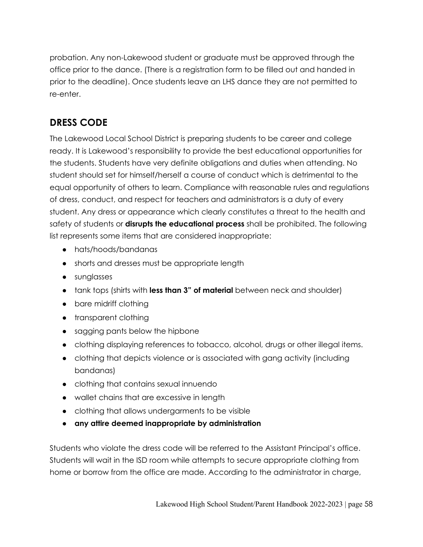probation. Any non-Lakewood student or graduate must be approved through the office prior to the dance. (There is a registration form to be filled out and handed in prior to the deadline). Once students leave an LHS dance they are not permitted to re-enter.

## **DRESS CODE**

The Lakewood Local School District is preparing students to be career and college ready. It is Lakewood's responsibility to provide the best educational opportunities for the students. Students have very definite obligations and duties when attending. No student should set for himself/herself a course of conduct which is detrimental to the equal opportunity of others to learn. Compliance with reasonable rules and regulations of dress, conduct, and respect for teachers and administrators is a duty of every student. Any dress or appearance which clearly constitutes a threat to the health and safety of students or **disrupts the educational process** shall be prohibited. The following list represents some items that are considered inappropriate:

- hats/hoods/bandanas
- shorts and dresses must be appropriate length
- sunglasses
- tank tops (shirts with **less than 3" of material** between neck and shoulder)
- bare midriff clothing
- transparent clothing
- sagging pants below the hipbone
- clothing displaying references to tobacco, alcohol, drugs or other illegal items.
- clothing that depicts violence or is associated with gang activity (including bandanas)
- clothing that contains sexual innuendo
- wallet chains that are excessive in length
- clothing that allows undergarments to be visible
- **any attire deemed inappropriate by administration**

Students who violate the dress code will be referred to the Assistant Principal's office. Students will wait in the ISD room while attempts to secure appropriate clothing from home or borrow from the office are made. According to the administrator in charge,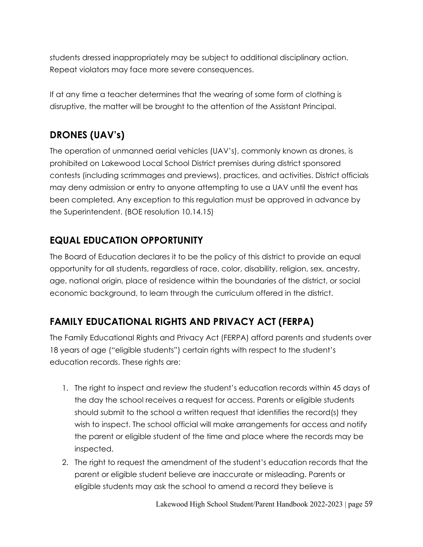students dressed inappropriately may be subject to additional disciplinary action. Repeat violators may face more severe consequences.

If at any time a teacher determines that the wearing of some form of clothing is disruptive, the matter will be brought to the attention of the Assistant Principal.

## **DRONES (UAV's)**

The operation of unmanned aerial vehicles (UAV's), commonly known as drones, is prohibited on Lakewood Local School District premises during district sponsored contests (including scrimmages and previews), practices, and activities. District officials may deny admission or entry to anyone attempting to use a UAV until the event has been completed. Any exception to this regulation must be approved in advance by the Superintendent. (BOE resolution 10.14.15)

## **EQUAL EDUCATION OPPORTUNITY**

The Board of Education declares it to be the policy of this district to provide an equal opportunity for all students, regardless of race, color, disability, religion, sex, ancestry, age, national origin, place of residence within the boundaries of the district, or social economic background, to learn through the curriculum offered in the district.

## **FAMILY EDUCATIONAL RIGHTS AND PRIVACY ACT (FERPA)**

The Family Educational Rights and Privacy Act (FERPA) afford parents and students over 18 years of age ("eligible students") certain rights with respect to the student's education records. These rights are:

- 1. The right to inspect and review the student's education records within 45 days of the day the school receives a request for access. Parents or eligible students should submit to the school a written request that identifies the record(s) they wish to inspect. The school official will make arrangements for access and notify the parent or eligible student of the time and place where the records may be inspected.
- 2. The right to request the amendment of the student's education records that the parent or eligible student believe are inaccurate or misleading. Parents or eligible students may ask the school to amend a record they believe is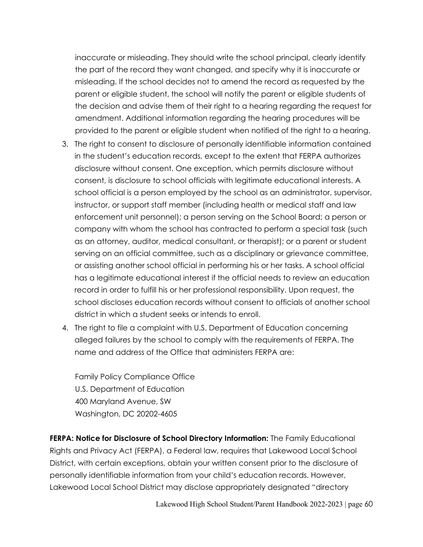inaccurate or misleading. They should write the school principal, clearly identify the part of the record they want changed, and specify why it is inaccurate or misleading. If the school decides not to amend the record as requested by the parent or eligible student, the school will notify the parent or eligible students of the decision and advise them of their right to a hearing regarding the request for amendment. Additional information regarding the hearing procedures will be provided to the parent or eligible student when notified of the right to a hearing.

- 3. The right to consent to disclosure of personally identifiable information contained in the student's education records, except to the extent that FERPA authorizes disclosure without consent. One exception, which permits disclosure without consent, is disclosure to school officials with legitimate educational interests. A school official is a person employed by the school as an administrator, supervisor, instructor, or support staff member (including health or medical staff and law enforcement unit personnel); a person serving on the School Board; a person or company with whom the school has contracted to perform a special task (such as an attorney, auditor, medical consultant, or therapist); or a parent or student serving on an official committee, such as a disciplinary or grievance committee, or assisting another school official in performing his or her tasks. A school official has a legitimate educational interest if the official needs to review an education record in order to fulfill his or her professional responsibility. Upon request, the school discloses education records without consent to officials of another school district in which a student seeks or intends to enroll.
- 4. The right to file a complaint with U.S. Department of Education concerning alleged failures by the school to comply with the requirements of FERPA. The name and address of the Office that administers FERPA are:

Family Policy Compliance Office U.S. Department of Education 400 Maryland Avenue, SW Washington, DC 20202-4605

**FERPA: Notice for Disclosure of School Directory Information:** The Family Educational Rights and Privacy Act (FERPA), a Federal law, requires that Lakewood Local School District, with certain exceptions, obtain your written consent prior to the disclosure of personally identifiable information from your child's education records. However, Lakewood Local School District may disclose appropriately designated "directory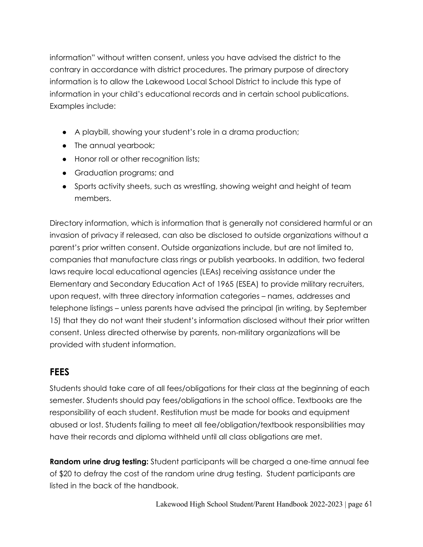information" without written consent, unless you have advised the district to the contrary in accordance with district procedures. The primary purpose of directory information is to allow the Lakewood Local School District to include this type of information in your child's educational records and in certain school publications. Examples include:

- A playbill, showing your student's role in a drama production;
- The annual yearbook;
- Honor roll or other recognition lists;
- Graduation programs; and
- Sports activity sheets, such as wrestling, showing weight and height of team members.

Directory information, which is information that is generally not considered harmful or an invasion of privacy if released, can also be disclosed to outside organizations without a parent's prior written consent. Outside organizations include, but are not limited to, companies that manufacture class rings or publish yearbooks. In addition, two federal laws require local educational agencies (LEAs) receiving assistance under the Elementary and Secondary Education Act of 1965 (ESEA) to provide military recruiters, upon request, with three directory information categories – names, addresses and telephone listings – unless parents have advised the principal (in writing, by September 15) that they do not want their student's information disclosed without their prior written consent. Unless directed otherwise by parents, non-military organizations will be provided with student information.

#### **FEES**

Students should take care of all fees/obligations for their class at the beginning of each semester. Students should pay fees/obligations in the school office. Textbooks are the responsibility of each student. Restitution must be made for books and equipment abused or lost. Students failing to meet all fee/obligation/textbook responsibilities may have their records and diploma withheld until all class obligations are met.

**Random urine drug testing:** Student participants will be charged a one-time annual fee of \$20 to defray the cost of the random urine drug testing. Student participants are listed in the back of the handbook.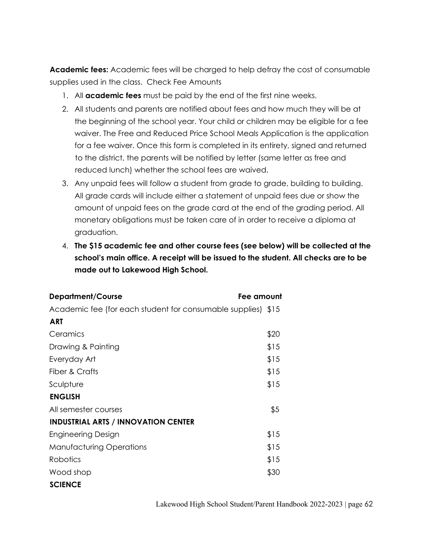**Academic fees:** Academic fees will be charged to help defray the cost of consumable supplies used in the class. Check Fee Amounts

- 1. All **academic fees** must be paid by the end of the first nine weeks.
- 2. All students and parents are notified about fees and how much they will be at the beginning of the school year. Your child or children may be eligible for a fee waiver. The Free and Reduced Price School Meals Application is the application for a fee waiver. Once this form is completed in its entirety, signed and returned to the district, the parents will be notified by letter (same letter as free and reduced lunch) whether the school fees are waived.
- 3. Any unpaid fees will follow a student from grade to grade, building to building. All grade cards will include either a statement of unpaid fees due or show the amount of unpaid fees on the grade card at the end of the grading period. All monetary obligations must be taken care of in order to receive a diploma at graduation.
- 4. **The \$15 academic fee and other course fees (see below) will be collected at the school's main office. A receipt will be issued to the student. All checks are to be made out to Lakewood High School.**

| <b>Department/Course</b>                                     | Fee amount |
|--------------------------------------------------------------|------------|
| Academic fee (for each student for consumable supplies) \$15 |            |
| <b>ART</b>                                                   |            |
| Ceramics                                                     | \$20       |
| Drawing & Painting                                           | \$15       |
| Everyday Art                                                 | \$15       |
| <b>Fiber &amp; Crafts</b>                                    | \$15       |
| Sculpture                                                    | \$15       |
| <b>ENGLISH</b>                                               |            |
| All semester courses                                         | \$5        |
| <b>INDUSTRIAL ARTS / INNOVATION CENTER</b>                   |            |
| <b>Engineering Design</b>                                    | \$15       |
| <b>Manufacturing Operations</b>                              | \$15       |
| Robotics                                                     | \$15       |
| Wood shop                                                    | \$30       |
| <b>SCIENCE</b>                                               |            |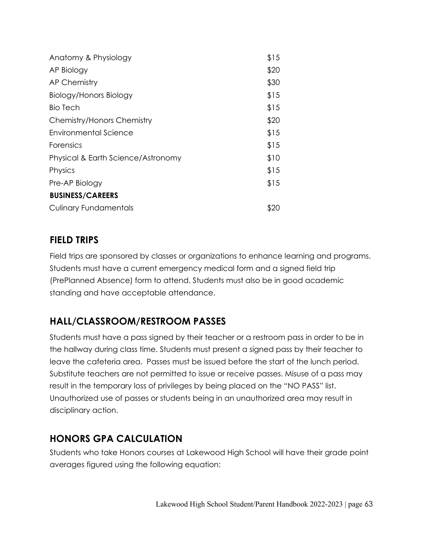| Anatomy & Physiology               | \$15 |
|------------------------------------|------|
| AP Biology                         | \$20 |
| <b>AP Chemistry</b>                | \$30 |
| Biology/Honors Biology             | \$15 |
| <b>Bio Tech</b>                    | \$15 |
| Chemistry/Honors Chemistry         | \$20 |
| Environmental Science              | \$15 |
| Forensics                          | \$15 |
| Physical & Earth Science/Astronomy | \$10 |
| Physics                            | \$15 |
| Pre-AP Biology                     | \$15 |
| <b>BUSINESS/CAREERS</b>            |      |
| <b>Culinary Fundamentals</b>       | \$20 |

## **FIELD TRIPS**

Field trips are sponsored by classes or organizations to enhance learning and programs. Students must have a current emergency medical form and a signed field trip (PrePlanned Absence) form to attend. Students must also be in good academic standing and have acceptable attendance.

## **HALL/CLASSROOM/RESTROOM PASSES**

Students must have a pass signed by their teacher or a restroom pass in order to be in the hallway during class time. Students must present a signed pass by their teacher to leave the cafeteria area. Passes must be issued before the start of the lunch period. Substitute teachers are not permitted to issue or receive passes. Misuse of a pass may result in the temporary loss of privileges by being placed on the "NO PASS" list. Unauthorized use of passes or students being in an unauthorized area may result in disciplinary action.

## **HONORS GPA CALCULATION**

Students who take Honors courses at Lakewood High School will have their grade point averages figured using the following equation: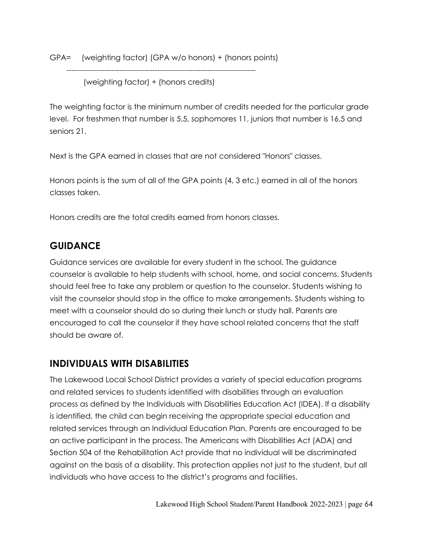GPA= (weighting factor) (GPA w/o honors) + (honors points)

---------------------------------------------------------------------------

(weighting factor) + (honors credits)

The weighting factor is the minimum number of credits needed for the particular grade level. For freshmen that number is 5.5, sophomores 11, juniors that number is 16.5 and seniors 21.

Next is the GPA earned in classes that are not considered "Honors" classes.

Honors points is the sum of all of the GPA points (4, 3 etc.) earned in all of the honors classes taken.

Honors credits are the total credits earned from honors classes.

## **GUIDANCE**

Guidance services are available for every student in the school. The guidance counselor is available to help students with school, home, and social concerns. Students should feel free to take any problem or question to the counselor. Students wishing to visit the counselor should stop in the office to make arrangements. Students wishing to meet with a counselor should do so during their lunch or study hall. Parents are encouraged to call the counselor if they have school related concerns that the staff should be aware of.

## **INDIVIDUALS WITH DISABILITIES**

The Lakewood Local School District provides a variety of special education programs and related services to students identified with disabilities through an evaluation process as defined by the Individuals with Disabilities Education Act (IDEA). If a disability is identified, the child can begin receiving the appropriate special education and related services through an Individual Education Plan. Parents are encouraged to be an active participant in the process. The Americans with Disabilities Act (ADA) and Section 504 of the Rehabilitation Act provide that no individual will be discriminated against on the basis of a disability. This protection applies not just to the student, but all individuals who have access to the district's programs and facilities.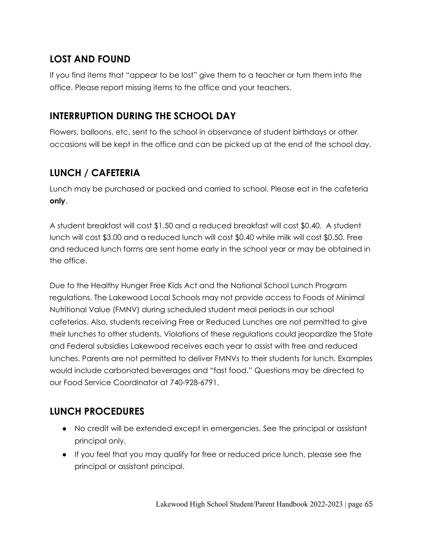## **LOST AND FOUND**

If you find items that "appear to be lost" give them to a teacher or turn them into the office. Please report missing items to the office and your teachers.

## **INTERRUPTION DURING THE SCHOOL DAY**

Flowers, balloons, etc. sent to the school in observance of student birthdays or other occasions will be kept in the office and can be picked up at the end of the school day.

# **LUNCH / CAFETERIA**

Lunch may be purchased or packed and carried to school. Please eat in the cafeteria **only**.

A student breakfast will cost \$1.50 and a reduced breakfast will cost \$0.40. A student lunch will cost \$3.00 and a reduced lunch will cost \$0.40 while milk will cost \$0.50. Free and reduced lunch forms are sent home early in the school year or may be obtained in the office.

Due to the Healthy Hunger Free Kids Act and the National School Lunch Program regulations, The Lakewood Local Schools may not provide access to Foods of Minimal Nutritional Value (FMNV) during scheduled student meal periods in our school cafeterias. Also, students receiving Free or Reduced Lunches are not permitted to give their lunches to other students. Violations of these regulations could jeopardize the State and Federal subsidies Lakewood receives each year to assist with free and reduced lunches. Parents are not permitted to deliver FMNVs to their students for lunch. Examples would include carbonated beverages and "fast food." Questions may be directed to our Food Service Coordinator at 740-928-6791.

## **LUNCH PROCEDURES**

- No credit will be extended except in emergencies. See the principal or assistant principal only.
- If you feel that you may qualify for free or reduced price lunch, please see the principal or assistant principal.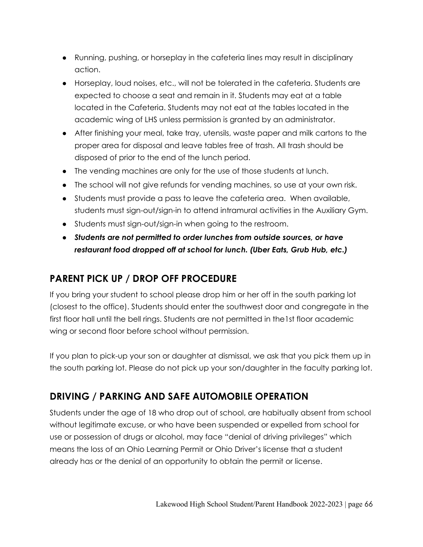- Running, pushing, or horseplay in the cafeteria lines may result in disciplinary action.
- Horseplay, loud noises, etc., will not be tolerated in the cafeteria. Students are expected to choose a seat and remain in it. Students may eat at a table located in the Cafeteria. Students may not eat at the tables located in the academic wing of LHS unless permission is granted by an administrator.
- After finishing your meal, take tray, utensils, waste paper and milk cartons to the proper area for disposal and leave tables free of trash. All trash should be disposed of prior to the end of the lunch period.
- The vending machines are only for the use of those students at lunch.
- The school will not give refunds for vending machines, so use at your own risk.
- Students must provide a pass to leave the cafeteria area. When available, students must sign-out/sign-in to attend intramural activities in the Auxiliary Gym.
- Students must sign-out/sign-in when going to the restroom.
- *Students are not permitted to order lunches from outside sources, or have restaurant food dropped off at school for lunch. (Uber Eats, Grub Hub, etc.)*

## **PARENT PICK UP / DROP OFF PROCEDURE**

If you bring your student to school please drop him or her off in the south parking lot (closest to the office). Students should enter the southwest door and congregate in the first floor hall until the bell rings. Students are not permitted in the1st floor academic wing or second floor before school without permission.

If you plan to pick-up your son or daughter at dismissal, we ask that you pick them up in the south parking lot. Please do not pick up your son/daughter in the faculty parking lot.

## **DRIVING / PARKING AND SAFE AUTOMOBILE OPERATION**

Students under the age of 18 who drop out of school, are habitually absent from school without legitimate excuse, or who have been suspended or expelled from school for use or possession of drugs or alcohol, may face "denial of driving privileges" which means the loss of an Ohio Learning Permit or Ohio Driver's license that a student already has or the denial of an opportunity to obtain the permit or license.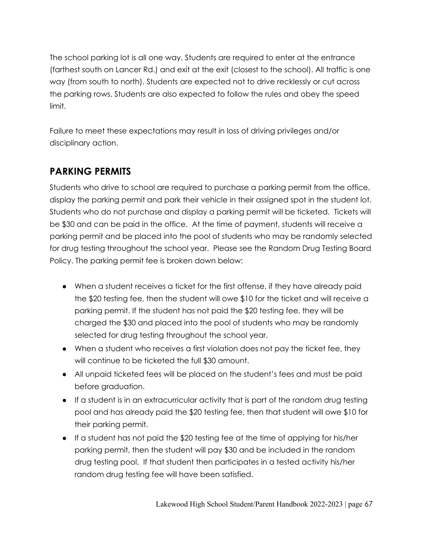The school parking lot is all one way. Students are required to enter at the entrance (farthest south on Lancer Rd.) and exit at the exit (closest to the school). All traffic is one way (from south to north). Students are expected not to drive recklessly or cut across the parking rows. Students are also expected to follow the rules and obey the speed limit.

Failure to meet these expectations may result in loss of driving privileges and/or disciplinary action.

## **PARKING PERMITS**

Students who drive to school are required to purchase a parking permit from the office, display the parking permit and park their vehicle in their assigned spot in the student lot. Students who do not purchase and display a parking permit will be ticketed. Tickets will be \$30 and can be paid in the office. At the time of payment, students will receive a parking permit and be placed into the pool of students who may be randomly selected for drug testing throughout the school year. Please see the Random Drug Testing Board Policy. The parking permit fee is broken down below:

- When a student receives a ticket for the first offense, if they have already paid the \$20 testing fee, then the student will owe \$10 for the ticket and will receive a parking permit. If the student has not paid the \$20 testing fee, they will be charged the \$30 and placed into the pool of students who may be randomly selected for drug testing throughout the school year.
- When a student who receives a first violation does not pay the ticket fee, they will continue to be ticketed the full \$30 amount.
- All unpaid ticketed fees will be placed on the student's fees and must be paid before graduation.
- If a student is in an extracurricular activity that is part of the random drug testing pool and has already paid the \$20 testing fee, then that student will owe \$10 for their parking permit.
- If a student has not paid the \$20 testing fee at the time of applying for his/her parking permit, then the student will pay \$30 and be included in the random drug testing pool. If that student then participates in a tested activity his/her random drug testing fee will have been satisfied.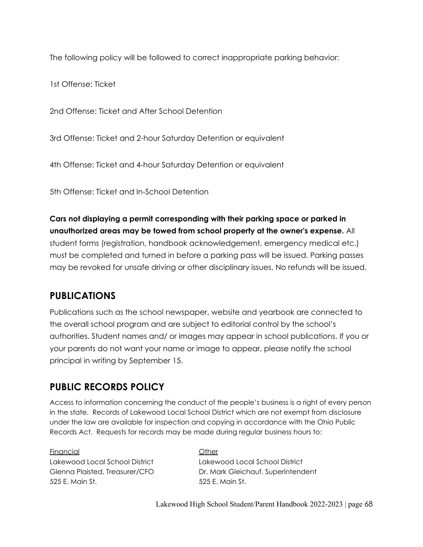The following policy will be followed to correct inappropriate parking behavior:

1st Offense: Ticket

2nd Offense: Ticket and After School Detention

3rd Offense: Ticket and 2-hour Saturday Detention or equivalent

4th Offense: Ticket and 4-hour Saturday Detention or equivalent

5th Offense: Ticket and In-School Detention

#### **Cars not displaying a permit corresponding with their parking space or parked in unauthorized areas may be towed from school property at the owner's expense.** All student forms (registration, handbook acknowledgement, emergency medical etc.) must be completed and turned in before a parking pass will be issued. Parking passes may be revoked for unsafe driving or other disciplinary issues. No refunds will be issued.

#### **PUBLICATIONS**

Publications such as the school newspaper, website and yearbook are connected to the overall school program and are subject to editorial control by the school's authorities. Student names and/ or images may appear in school publications. If you or your parents do not want your name or image to appear, please notify the school principal in writing by September 15.

#### **PUBLIC RECORDS POLICY**

Access to information concerning the conduct of the people's business is a right of every person in the state. Records of Lakewood Local School District which are not exempt from disclosure under the law are available for inspection and copying in accordance with the Ohio Public Records Act. Requests for records may be made during regular business hours to:

Financial Other

Lakewood Local School District Lakewood Local School District 525 E. Main St. 525 E. Main St.

Glenna Plaisted, Treasurer/CFO Dr. Mark Gleichauf, Superintendent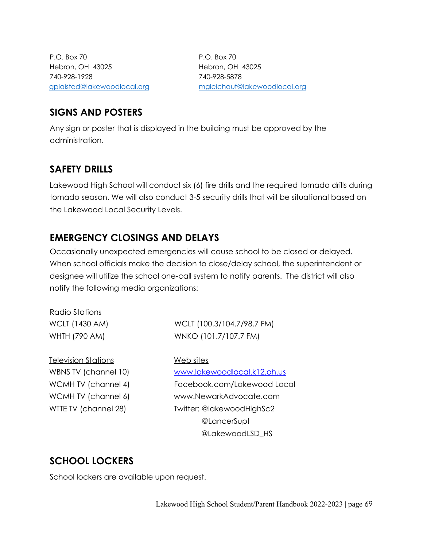P.O. Box 70 P.O. Box 70 Hebron, OH 43025 Hebron, OH 43025 740-928-1928 740-928-5878

[gplaisted@lakewoodlocal.org](mailto:gplaisted@lakewoodlocal.org) [mgleichauf@lakewoodlocal.org](mailto:mgleichauf@lakewoodlocal.org)

## **SIGNS AND POSTERS**

Any sign or poster that is displayed in the building must be approved by the administration.

## **SAFETY DRILLS**

Lakewood High School will conduct six (6) fire drills and the required tornado drills during tornado season. We will also conduct 3-5 security drills that will be situational based on the Lakewood Local Security Levels.

## **EMERGENCY CLOSINGS AND DELAYS**

Occasionally unexpected emergencies will cause school to be closed or delayed. When school officials make the decision to close/delay school, the superintendent or designee will utilize the school one-call system to notify parents. The district will also notify the following media organizations:

| <b>Radio Stations</b>      |                             |
|----------------------------|-----------------------------|
| <b>WCLT (1430 AM)</b>      | WCLT (100.3/104.7/98.7 FM)  |
| <b>WHTH (790 AM)</b>       | WNKO (101.7/107.7 FM)       |
|                            |                             |
| <b>Television Stations</b> | <u>Web sites</u>            |
| WBNS TV (channel 10)       | www.lakewoodlocal.k12.oh.us |
| WCMH TV (channel 4)        | Facebook.com/Lakewood Local |
| WCMH TV (channel 6)        | www.NewarkAdvocate.com      |
| WITE TV (channel 28)       | Twitter: @lakewoodHighSc2   |

@LancerSupt @LakewoodLSD\_HS

## **SCHOOL LOCKERS**

School lockers are available upon request.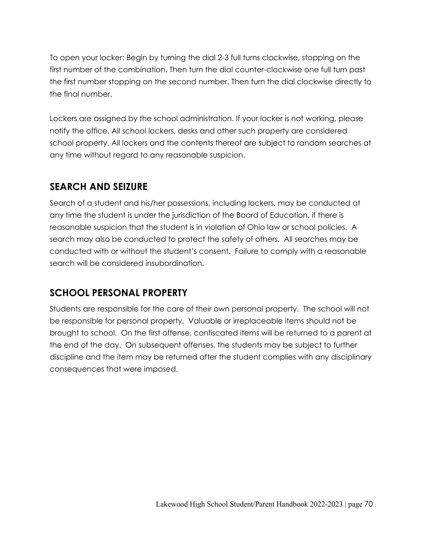To open your locker: Begin by turning the dial 2-3 full turns clockwise, stopping on the first number of the combination. Then turn the dial counter-clockwise one full turn past the first number stopping on the second number. Then turn the dial clockwise directly to the final number.

Lockers are assigned by the school administration. If your locker is not working, please notify the office. All school lockers, desks and other such property are considered school property. All lockers and the contents thereof are subject to random searches at any time without regard to any reasonable suspicion.

## **SEARCH AND SEIZURE**

Search of a student and his/her possessions, including lockers, may be conducted at any time the student is under the jurisdiction of the Board of Education, if there is reasonable suspicion that the student is in violation of Ohio law or school policies. A search may also be conducted to protect the safety of others. All searches may be conducted with or without the student's consent. Failure to comply with a reasonable search will be considered insubordination.

## **SCHOOL PERSONAL PROPERTY**

Students are responsible for the care of their own personal property. The school will not be responsible for personal property. Valuable or irreplaceable items should not be brought to school. On the first offense, confiscated items will be returned to a parent at the end of the day. On subsequent offenses, the students may be subject to further discipline and the item may be returned after the student complies with any disciplinary consequences that were imposed.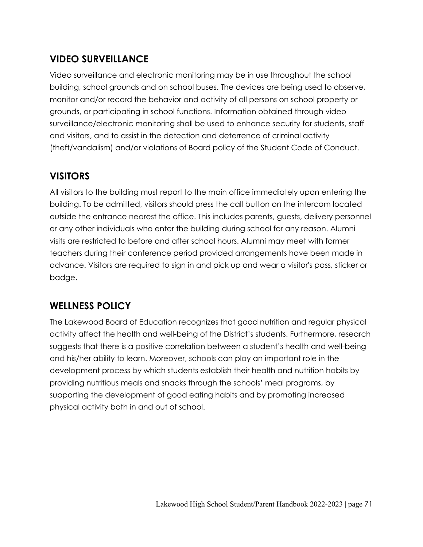## **VIDEO SURVEILLANCE**

Video surveillance and electronic monitoring may be in use throughout the school building, school grounds and on school buses. The devices are being used to observe, monitor and/or record the behavior and activity of all persons on school property or grounds, or participating in school functions. Information obtained through video surveillance/electronic monitoring shall be used to enhance security for students, staff and visitors, and to assist in the detection and deterrence of criminal activity (theft/vandalism) and/or violations of Board policy of the Student Code of Conduct.

## **VISITORS**

All visitors to the building must report to the main office immediately upon entering the building. To be admitted, visitors should press the call button on the intercom located outside the entrance nearest the office. This includes parents, guests, delivery personnel or any other individuals who enter the building during school for any reason. Alumni visits are restricted to before and after school hours. Alumni may meet with former teachers during their conference period provided arrangements have been made in advance. Visitors are required to sign in and pick up and wear a visitor's pass, sticker or badge.

## **WELLNESS POLICY**

The Lakewood Board of Education recognizes that good nutrition and regular physical activity affect the health and well-being of the District's students. Furthermore, research suggests that there is a positive correlation between a student's health and well-being and his/her ability to learn. Moreover, schools can play an important role in the development process by which students establish their health and nutrition habits by providing nutritious meals and snacks through the schools' meal programs, by supporting the development of good eating habits and by promoting increased physical activity both in and out of school.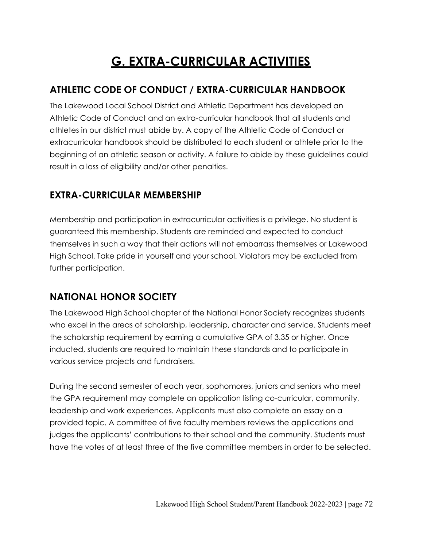# **G. EXTRA-CURRICULAR ACTIVITIES**

# **ATHLETIC CODE OF CONDUCT / EXTRA-CURRICULAR HANDBOOK**

The Lakewood Local School District and Athletic Department has developed an Athletic Code of Conduct and an extra-curricular handbook that all students and athletes in our district must abide by. A copy of the Athletic Code of Conduct or extracurricular handbook should be distributed to each student or athlete prior to the beginning of an athletic season or activity. A failure to abide by these guidelines could result in a loss of eligibility and/or other penalties.

# **EXTRA-CURRICULAR MEMBERSHIP**

Membership and participation in extracurricular activities is a privilege. No student is guaranteed this membership. Students are reminded and expected to conduct themselves in such a way that their actions will not embarrass themselves or Lakewood High School. Take pride in yourself and your school. Violators may be excluded from further participation.

# **NATIONAL HONOR SOCIETY**

The Lakewood High School chapter of the National Honor Society recognizes students who excel in the areas of scholarship, leadership, character and service. Students meet the scholarship requirement by earning a cumulative GPA of 3.35 or higher. Once inducted, students are required to maintain these standards and to participate in various service projects and fundraisers.

During the second semester of each year, sophomores, juniors and seniors who meet the GPA requirement may complete an application listing co-curricular, community, leadership and work experiences. Applicants must also complete an essay on a provided topic. A committee of five faculty members reviews the applications and judges the applicants' contributions to their school and the community. Students must have the votes of at least three of the five committee members in order to be selected.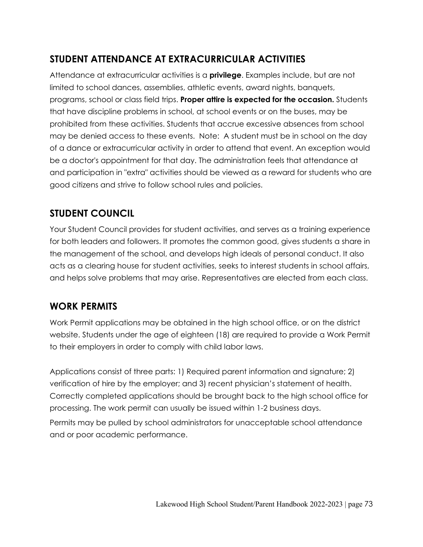# **STUDENT ATTENDANCE AT EXTRACURRICULAR ACTIVITIES**

Attendance at extracurricular activities is a **privilege**. Examples include, but are not limited to school dances, assemblies, athletic events, award nights, banquets, programs, school or class field trips. **Proper attire is expected for the occasion.** Students that have discipline problems in school, at school events or on the buses, may be prohibited from these activities. Students that accrue excessive absences from school may be denied access to these events. Note: A student must be in school on the day of a dance or extracurricular activity in order to attend that event. An exception would be a doctor's appointment for that day. The administration feels that attendance at and participation in "extra" activities should be viewed as a reward for students who are good citizens and strive to follow school rules and policies.

# **STUDENT COUNCIL**

Your Student Council provides for student activities, and serves as a training experience for both leaders and followers. It promotes the common good, gives students a share in the management of the school, and develops high ideals of personal conduct. It also acts as a clearing house for student activities, seeks to interest students in school affairs, and helps solve problems that may arise. Representatives are elected from each class.

### **WORK PERMITS**

Work Permit applications may be obtained in the high school office, or on the district website. Students under the age of eighteen (18) are required to provide a Work Permit to their employers in order to comply with child labor laws.

Applications consist of three parts: 1) Required parent information and signature; 2) verification of hire by the employer; and 3) recent physician's statement of health. Correctly completed applications should be brought back to the high school office for processing. The work permit can usually be issued within 1-2 business days. Permits may be pulled by school administrators for unacceptable school attendance and or poor academic performance.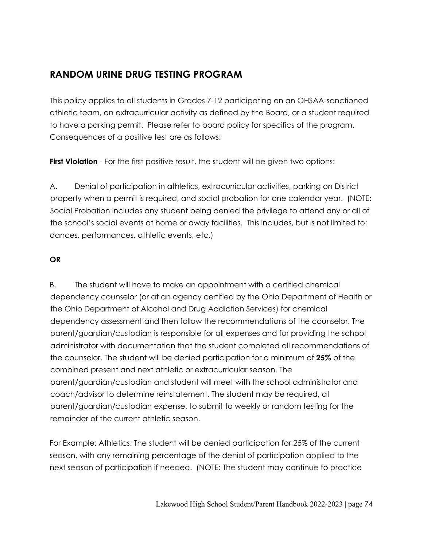# **RANDOM URINE DRUG TESTING PROGRAM**

This policy applies to all students in Grades 7-12 participating on an OHSAA-sanctioned athletic team, an extracurricular activity as defined by the Board, or a student required to have a parking permit. Please refer to board policy for specifics of the program. Consequences of a positive test are as follows:

**First Violation** - For the first positive result, the student will be given two options:

A. Denial of participation in athletics, extracurricular activities, parking on District property when a permit is required, and social probation for one calendar year. (NOTE: Social Probation includes any student being denied the privilege to attend any or all of the school's social events at home or away facilities. This includes, but is not limited to: dances, performances, athletic events, etc.)

### **OR**

B. The student will have to make an appointment with a certified chemical dependency counselor (or at an agency certified by the Ohio Department of Health or the Ohio Department of Alcohol and Drug Addiction Services) for chemical dependency assessment and then follow the recommendations of the counselor. The parent/guardian/custodian is responsible for all expenses and for providing the school administrator with documentation that the student completed all recommendations of the counselor. The student will be denied participation for a minimum of **25%** of the combined present and next athletic or extracurricular season. The parent/guardian/custodian and student will meet with the school administrator and coach/advisor to determine reinstatement. The student may be required, at parent/guardian/custodian expense, to submit to weekly or random testing for the remainder of the current athletic season.

For Example: Athletics: The student will be denied participation for 25% of the current season, with any remaining percentage of the denial of participation applied to the next season of participation if needed. (NOTE: The student may continue to practice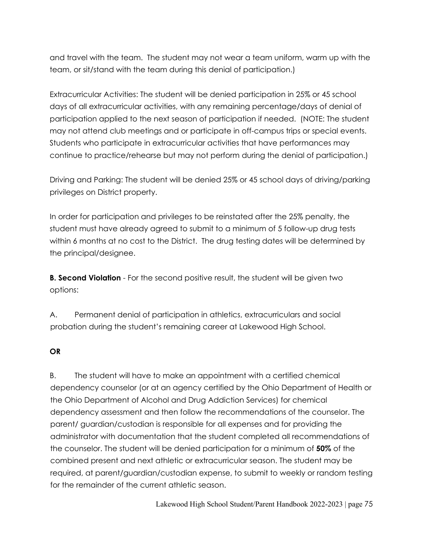and travel with the team. The student may not wear a team uniform, warm up with the team, or sit/stand with the team during this denial of participation.)

Extracurricular Activities: The student will be denied participation in 25% or 45 school days of all extracurricular activities, with any remaining percentage/days of denial of participation applied to the next season of participation if needed. (NOTE: The student may not attend club meetings and or participate in off-campus trips or special events. Students who participate in extracurricular activities that have performances may continue to practice/rehearse but may not perform during the denial of participation.)

Driving and Parking: The student will be denied 25% or 45 school days of driving/parking privileges on District property.

In order for participation and privileges to be reinstated after the 25% penalty, the student must have already agreed to submit to a minimum of 5 follow-up drug tests within 6 months at no cost to the District. The drug testing dates will be determined by the principal/designee.

**B. Second Violation** - For the second positive result, the student will be given two options:

A. Permanent denial of participation in athletics, extracurriculars and social probation during the student's remaining career at Lakewood High School.

#### **OR**

B. The student will have to make an appointment with a certified chemical dependency counselor (or at an agency certified by the Ohio Department of Health or the Ohio Department of Alcohol and Drug Addiction Services) for chemical dependency assessment and then follow the recommendations of the counselor. The parent/ guardian/custodian is responsible for all expenses and for providing the administrator with documentation that the student completed all recommendations of the counselor. The student will be denied participation for a minimum of **50%** of the combined present and next athletic or extracurricular season. The student may be required, at parent/guardian/custodian expense, to submit to weekly or random testing for the remainder of the current athletic season.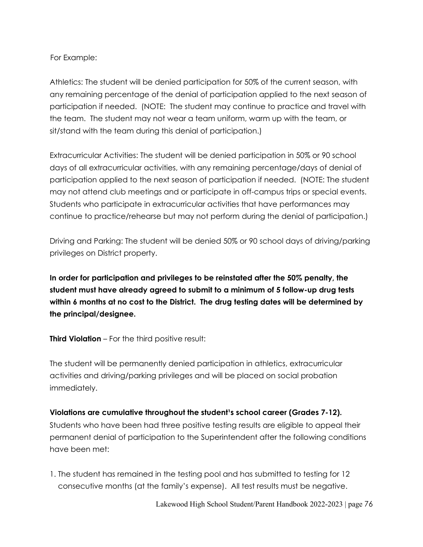For Example:

Athletics: The student will be denied participation for 50% of the current season, with any remaining percentage of the denial of participation applied to the next season of participation if needed. (NOTE: The student may continue to practice and travel with the team. The student may not wear a team uniform, warm up with the team, or sit/stand with the team during this denial of participation.)

Extracurricular Activities: The student will be denied participation in 50% or 90 school days of all extracurricular activities, with any remaining percentage/days of denial of participation applied to the next season of participation if needed. (NOTE: The student may not attend club meetings and or participate in off-campus trips or special events. Students who participate in extracurricular activities that have performances may continue to practice/rehearse but may not perform during the denial of participation.)

Driving and Parking: The student will be denied 50% or 90 school days of driving/parking privileges on District property.

**In order for participation and privileges to be reinstated after the 50% penalty, the student must have already agreed to submit to a minimum of 5 follow-up drug tests within 6 months at no cost to the District. The drug testing dates will be determined by the principal/designee.**

**Third Violation** – For the third positive result:

The student will be permanently denied participation in athletics, extracurricular activities and driving/parking privileges and will be placed on social probation immediately.

### **Violations are cumulative throughout the student's school career (Grades 7-12).**

Students who have been had three positive testing results are eligible to appeal their permanent denial of participation to the Superintendent after the following conditions have been met:

1. The student has remained in the testing pool and has submitted to testing for 12 consecutive months (at the family's expense). All test results must be negative.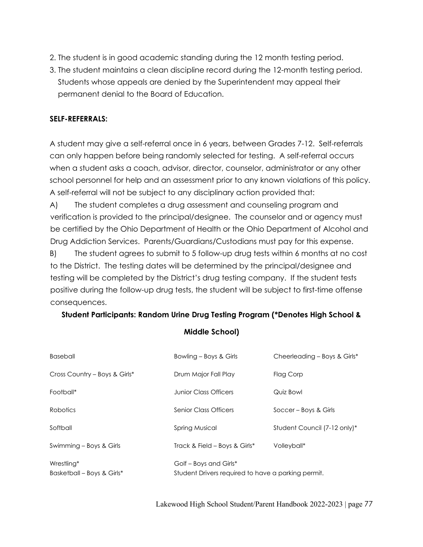- 2. The student is in good academic standing during the 12 month testing period.
- 3. The student maintains a clean discipline record during the 12-month testing period. Students whose appeals are denied by the Superintendent may appeal their permanent denial to the Board of Education.

#### **SELF-REFERRALS:**

A student may give a self-referral once in 6 years, between Grades 7-12. Self-referrals can only happen before being randomly selected for testing. A self-referral occurs when a student asks a coach, advisor, director, counselor, administrator or any other school personnel for help and an assessment prior to any known violations of this policy. A self-referral will not be subject to any disciplinary action provided that:

A) The student completes a drug assessment and counseling program and verification is provided to the principal/designee. The counselor and or agency must be certified by the Ohio Department of Health or the Ohio Department of Alcohol and Drug Addiction Services. Parents/Guardians/Custodians must pay for this expense.

B) The student agrees to submit to 5 follow-up drug tests within 6 months at no cost to the District. The testing dates will be determined by the principal/designee and testing will be completed by the District's drug testing company. If the student tests positive during the follow-up drug tests, the student will be subject to first-time offense consequences.

### **Student Participants: Random Urine Drug Testing Program (\*Denotes High School &**

### **Middle School)**

| <b>Baseball</b>                          | Bowling – Boys & Girls                                                       | Cheerleading - Boys & Girls* |
|------------------------------------------|------------------------------------------------------------------------------|------------------------------|
| Cross Country - Boys & Girls*            | Drum Major Fall Play                                                         | Flag Corp                    |
| Football*                                | <b>Junior Class Officers</b>                                                 | Quiz Bowl                    |
| Robotics                                 | Senior Class Officers                                                        | Soccer – Boys & Girls        |
| Softball                                 | <b>Spring Musical</b>                                                        | Student Council (7-12 only)* |
| Swimming - Boys & Girls                  | Track & Field – Boys & Girls*                                                | Volleyball*                  |
| Wrestling*<br>Basketball - Boys & Girls* | Golf – Boys and Girls*<br>Student Drivers required to have a parking permit. |                              |

Lakewood High School Student/Parent Handbook 2022-2023 | page 77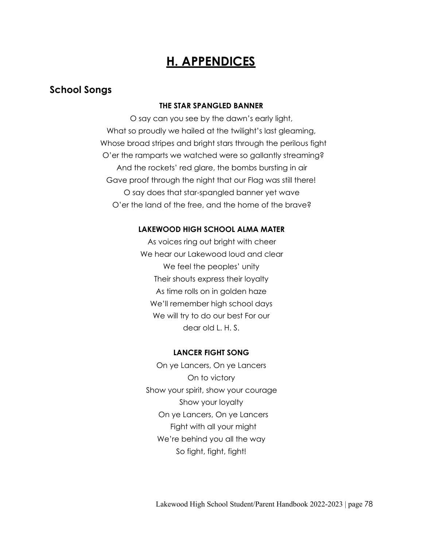# **H. APPENDICES**

### **School Songs**

#### **THE STAR SPANGLED BANNER**

O say can you see by the dawn's early light, What so proudly we hailed at the twilight's last gleaming, Whose broad stripes and bright stars through the perilous fight O'er the ramparts we watched were so gallantly streaming? And the rockets' red glare, the bombs bursting in air Gave proof through the night that our Flag was still there! O say does that star-spangled banner yet wave O'er the land of the free, and the home of the brave?

#### **LAKEWOOD HIGH SCHOOL ALMA MATER**

As voices ring out bright with cheer We hear our Lakewood loud and clear We feel the peoples' unity Their shouts express their loyalty As time rolls on in golden haze We'll remember high school days We will try to do our best For our dear old L. H. S.

#### **LANCER FIGHT SONG**

On ye Lancers, On ye Lancers On to victory Show your spirit, show your courage Show your loyalty On ye Lancers, On ye Lancers Fight with all your might We're behind you all the way So fight, fight, fight!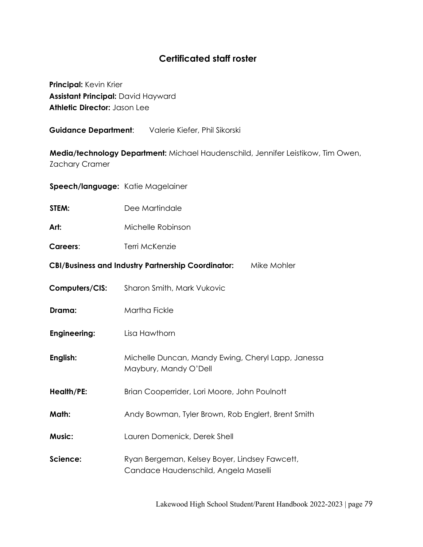### **Certificated staff roster**

**Principal:** Kevin Krier **Assistant Principal:** David Hayward **Athletic Director:** Jason Lee

**Guidance Department**: Valerie Kiefer, Phil Sikorski

**Media/technology Department:** Michael Haudenschild, Jennifer Leistikow, Tim Owen, Zachary Cramer

- **Speech/language:** Katie Magelainer
- **STEM:** Dee Martindale
- Art: Michelle Robinson
- **Careers**: Terri McKenzie
- **CBI/Business and Industry Partnership Coordinator:** Mike Mohler
- **Computers/CIS:** Sharon Smith, Mark Vukovic
- **Drama:** Martha Fickle
- **Engineering:** Lisa Hawthorn
- **English:** Michelle Duncan, Mandy Ewing, Cheryl Lapp, Janessa Maybury, Mandy O'Dell
- **Health/PE:** Brian Cooperrider, Lori Moore, John Poulnott
- **Math:** Andy Bowman, Tyler Brown, Rob Englert, Brent Smith
- **Music:** Lauren Domenick, Derek Shell
- **Science:** Ryan Bergeman, Kelsey Boyer, Lindsey Fawcett, Candace Haudenschild, Angela Maselli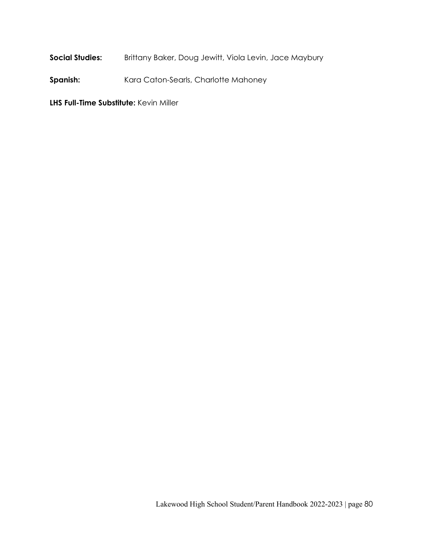### **Social Studies:** Brittany Baker, Doug Jewitt, Viola Levin, Jace Maybury

**Spanish:** Kara Caton-Searls, Charlotte Mahoney

**LHS Full-Time Substitute:** Kevin Miller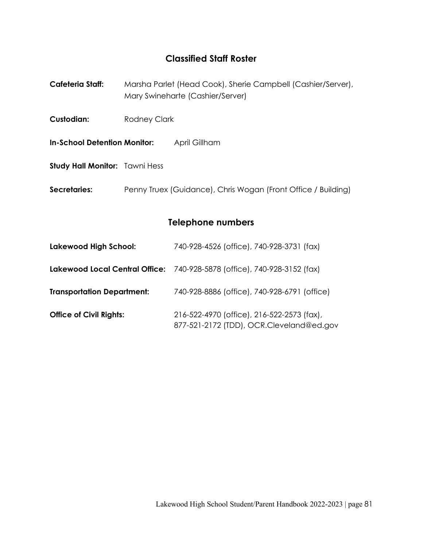### **Classified Staff Roster**

- **Cafeteria Staff:** Marsha Parlet (Head Cook), Sherie Campbell (Cashier/Server), Mary Swineharte (Cashier/Server)
- **Custodian:** Rodney Clark
- **In-School Detention Monitor:** April Gillham
- **Study Hall Monitor:** Tawni Hess
- Secretaries: Penny Truex (Guidance), Chris Wogan (Front Office / Building)

### **Telephone numbers**

| <b>Lakewood High School:</b>      | 740-928-4526 (office), 740-928-3731 (fax)                                              |
|-----------------------------------|----------------------------------------------------------------------------------------|
|                                   | Lakewood Local Central Office: 740-928-5878 (office), 740-928-3152 (fax)               |
| <b>Transportation Department:</b> | 740-928-8886 (office), 740-928-6791 (office)                                           |
| <b>Office of Civil Rights:</b>    | 216-522-4970 (office), 216-522-2573 (fax),<br>877-521-2172 (TDD), OCR.Cleveland@ed.gov |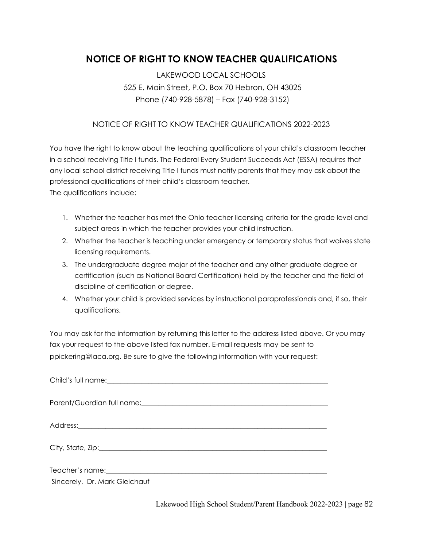# **NOTICE OF RIGHT TO KNOW TEACHER QUALIFICATIONS**

LAKEWOOD LOCAL SCHOOLS 525 E. Main Street, P.O. Box 70 Hebron, OH 43025 Phone (740-928-5878) – Fax (740-928-3152)

### NOTICE OF RIGHT TO KNOW TEACHER QUALIFICATIONS 2022-2023

You have the right to know about the teaching qualifications of your child's classroom teacher in a school receiving Title I funds. The Federal Every Student Succeeds Act (ESSA) requires that any local school district receiving Title I funds must notify parents that they may ask about the professional qualifications of their child's classroom teacher. The qualifications include:

- 1. Whether the teacher has met the Ohio teacher licensing criteria for the grade level and subject areas in which the teacher provides your child instruction.
- 2. Whether the teacher is teaching under emergency or temporary status that waives state licensing requirements.
- 3. The undergraduate degree major of the teacher and any other graduate degree or certification (such as National Board Certification) held by the teacher and the field of discipline of certification or degree.
- 4. Whether your child is provided services by instructional paraprofessionals and, if so, their qualifications.

You may ask for the information by returning this letter to the address listed above. Or you may fax your request to the above listed fax number. E-mail requests may be sent to ppickering@laca.org. Be sure to give the following information with your request:

| Child's full name:<br><u> Child's</u> full name: |
|--------------------------------------------------|
|                                                  |
|                                                  |
|                                                  |
| Sincerely, Dr. Mark Gleichauf                    |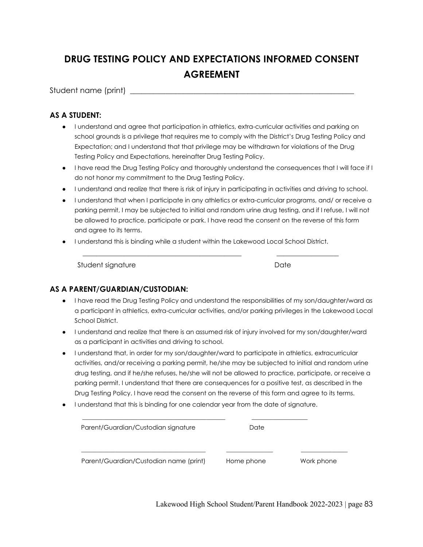# **DRUG TESTING POLICY AND EXPECTATIONS INFORMED CONSENT AGREEMENT**

Student name (print)

### **AS A STUDENT:**

- I understand and agree that participation in athletics, extra-curricular activities and parking on school grounds is a privilege that requires me to comply with the District's Drug Testing Policy and Expectation; and I understand that that privilege may be withdrawn for violations of the Drug Testing Policy and Expectations, hereinafter Drug Testing Policy.
- I have read the Drug Testing Policy and thoroughly understand the consequences that I will face if I do not honor my commitment to the Drug Testing Policy.
- I understand and realize that there is risk of injury in participating in activities and driving to school.
- I understand that when I participate in any athletics or extra-curricular programs, and/ or receive a parking permit, I may be subjected to initial and random urine drug testing, and if I refuse, I will not be allowed to practice, participate or park. I have read the consent on the reverse of this form and agree to its terms.

\_\_\_\_\_\_\_\_\_\_\_\_\_\_\_\_\_\_\_\_\_\_\_\_\_\_\_\_\_\_\_\_\_\_\_\_\_\_\_\_\_\_\_\_\_\_ \_\_\_\_\_\_\_\_\_\_\_\_\_\_\_\_\_\_

● I understand this is binding while a student within the Lakewood Local School District.

Student signature **Date** Date **Date** 

### **AS A PARENT/GUARDIAN/CUSTODIAN:**

- I have read the Drug Testing Policy and understand the responsibilities of my son/daughter/ward as a participant in athletics, extra-curricular activities, and/or parking privileges in the Lakewood Local School District.
- I understand and realize that there is an assumed risk of injury involved for my son/daughter/ward as a participant in activities and driving to school.
- I understand that, in order for my son/daughter/ward to participate in athletics, extracurricular activities, and/or receiving a parking permit, he/she may be subjected to initial and random urine drug testing, and if he/she refuses, he/she will not be allowed to practice, participate, or receive a parking permit. I understand that there are consequences for a positive test, as described in the Drug Testing Policy. I have read the consent on the reverse of this form and agree to its terms.
- I understand that this is binding for one calendar year from the date of signature.

| Parent/Guardian/Custodian signature    | Date       |            |
|----------------------------------------|------------|------------|
| Parent/Guardian/Custodian name (print) | Home phone | Work phone |

Lakewood High School Student/Parent Handbook 2022-2023 | page 83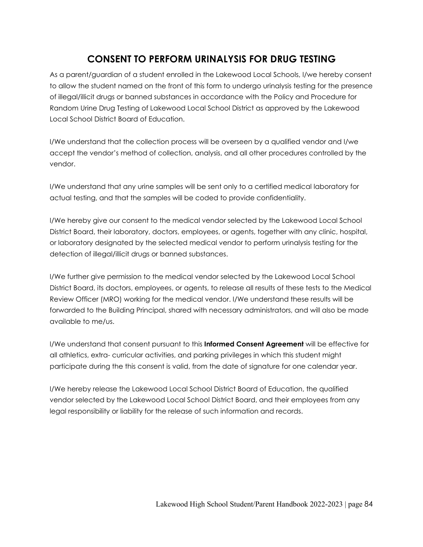# **CONSENT TO PERFORM URINALYSIS FOR DRUG TESTING**

As a parent/guardian of a student enrolled in the Lakewood Local Schools, I/we hereby consent to allow the student named on the front of this form to undergo urinalysis testing for the presence of illegal/illicit drugs or banned substances in accordance with the Policy and Procedure for Random Urine Drug Testing of Lakewood Local School District as approved by the Lakewood Local School District Board of Education.

I/We understand that the collection process will be overseen by a qualified vendor and I/we accept the vendor's method of collection, analysis, and all other procedures controlled by the vendor.

I/We understand that any urine samples will be sent only to a certified medical laboratory for actual testing, and that the samples will be coded to provide confidentiality.

I/We hereby give our consent to the medical vendor selected by the Lakewood Local School District Board, their laboratory, doctors, employees, or agents, together with any clinic, hospital, or laboratory designated by the selected medical vendor to perform urinalysis testing for the detection of illegal/illicit drugs or banned substances.

I/We further give permission to the medical vendor selected by the Lakewood Local School District Board, its doctors, employees, or agents, to release all results of these tests to the Medical Review Officer (MRO) working for the medical vendor. I/We understand these results will be forwarded to the Building Principal, shared with necessary administrators, and will also be made available to me/us.

I/We understand that consent pursuant to this **Informed Consent Agreement** will be effective for all athletics, extra- curricular activities, and parking privileges in which this student might participate during the this consent is valid, from the date of signature for one calendar year.

I/We hereby release the Lakewood Local School District Board of Education, the qualified vendor selected by the Lakewood Local School District Board, and their employees from any legal responsibility or liability for the release of such information and records.